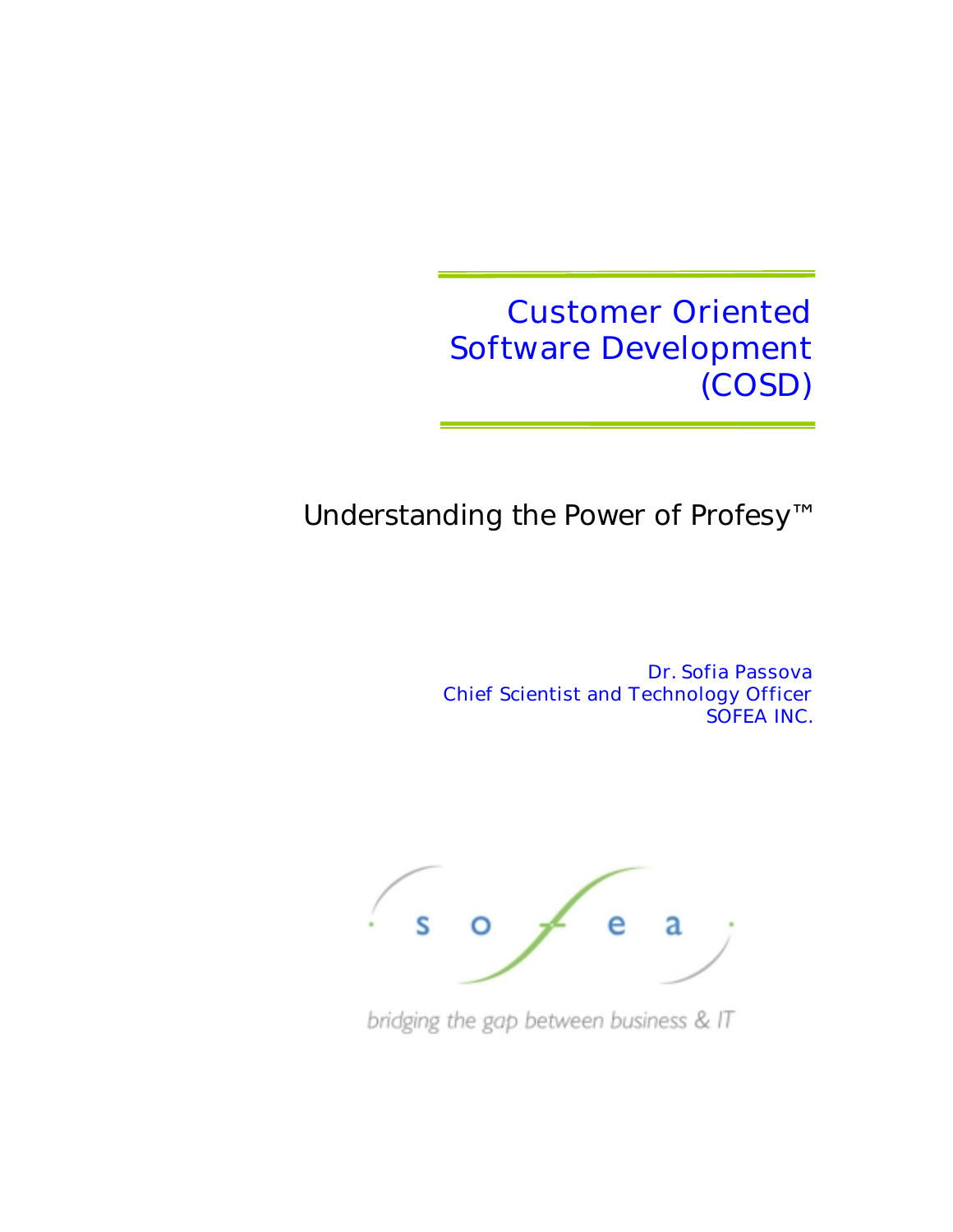Customer Oriented Software Development (COSD)

Understanding the Power of Profesy™

Dr. Sofia Passova Chief Scientist and Technology Officer SOFEA INC.



bridging the gap between business & IT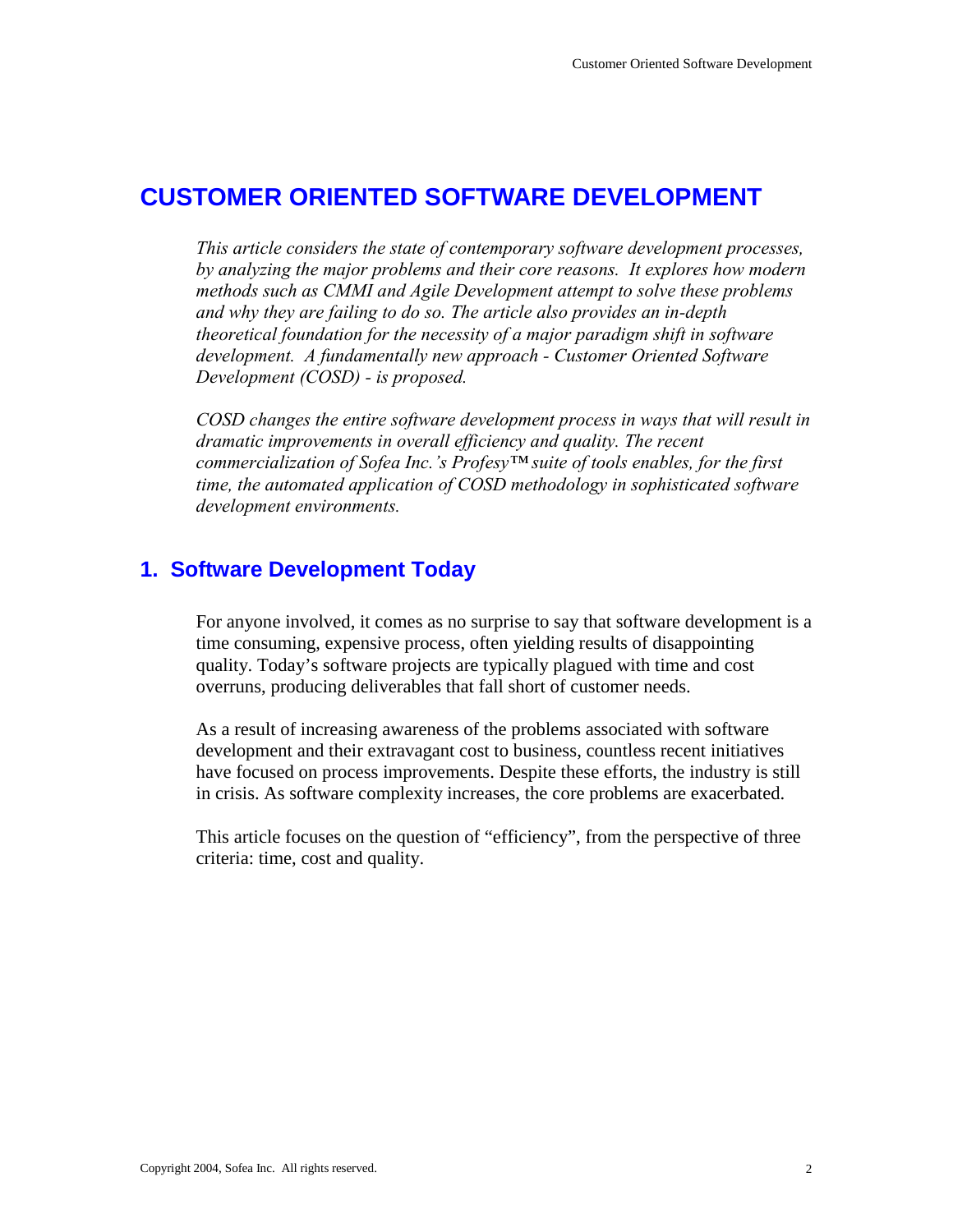# **CUSTOMER ORIENTED SOFTWARE DEVELOPMENT**

*This article considers the state of contemporary software development processes, by analyzing the major problems and their core reasons. It explores how modern methods such as CMMI and Agile Development attempt to solve these problems and why they are failing to do so. The article also provides an in-depth theoretical foundation for the necessity of a major paradigm shift in software development. A fundamentally new approach - Customer Oriented Software Development (COSD) - is proposed.* 

*COSD changes the entire software development process in ways that will result in dramatic improvements in overall efficiency and quality. The recent commercialization of Sofea Inc.'s Profesy™ suite of tools enables, for the first time, the automated application of COSD methodology in sophisticated software development environments.* 

# **1. Software Development Today**

For anyone involved, it comes as no surprise to say that software development is a time consuming, expensive process, often yielding results of disappointing quality. Today's software projects are typically plagued with time and cost overruns, producing deliverables that fall short of customer needs.

As a result of increasing awareness of the problems associated with software development and their extravagant cost to business, countless recent initiatives have focused on process improvements. Despite these efforts, the industry is still in crisis. As software complexity increases, the core problems are exacerbated.

This article focuses on the question of "efficiency", from the perspective of three criteria: time, cost and quality.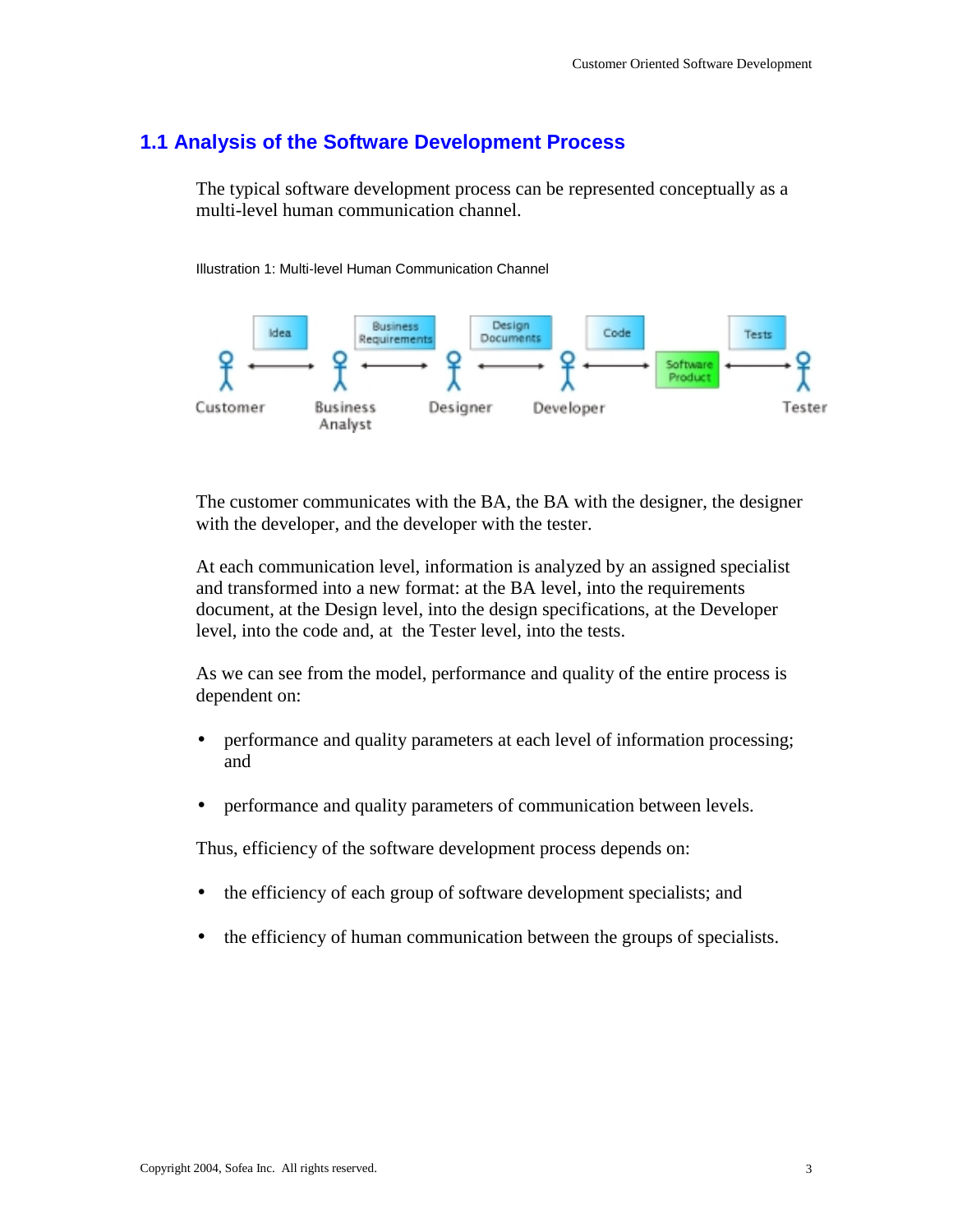# **1.1 Analysis of the Software Development Process**

The typical software development process can be represented conceptually as a multi-level human communication channel.

Illustration 1: Multi-level Human Communication Channel



The customer communicates with the BA, the BA with the designer, the designer with the developer, and the developer with the tester.

At each communication level, information is analyzed by an assigned specialist and transformed into a new format: at the BA level, into the requirements document, at the Design level, into the design specifications, at the Developer level, into the code and, at the Tester level, into the tests.

As we can see from the model, performance and quality of the entire process is dependent on:

- performance and quality parameters at each level of information processing; and
- performance and quality parameters of communication between levels.

Thus, efficiency of the software development process depends on:

- the efficiency of each group of software development specialists; and
- the efficiency of human communication between the groups of specialists.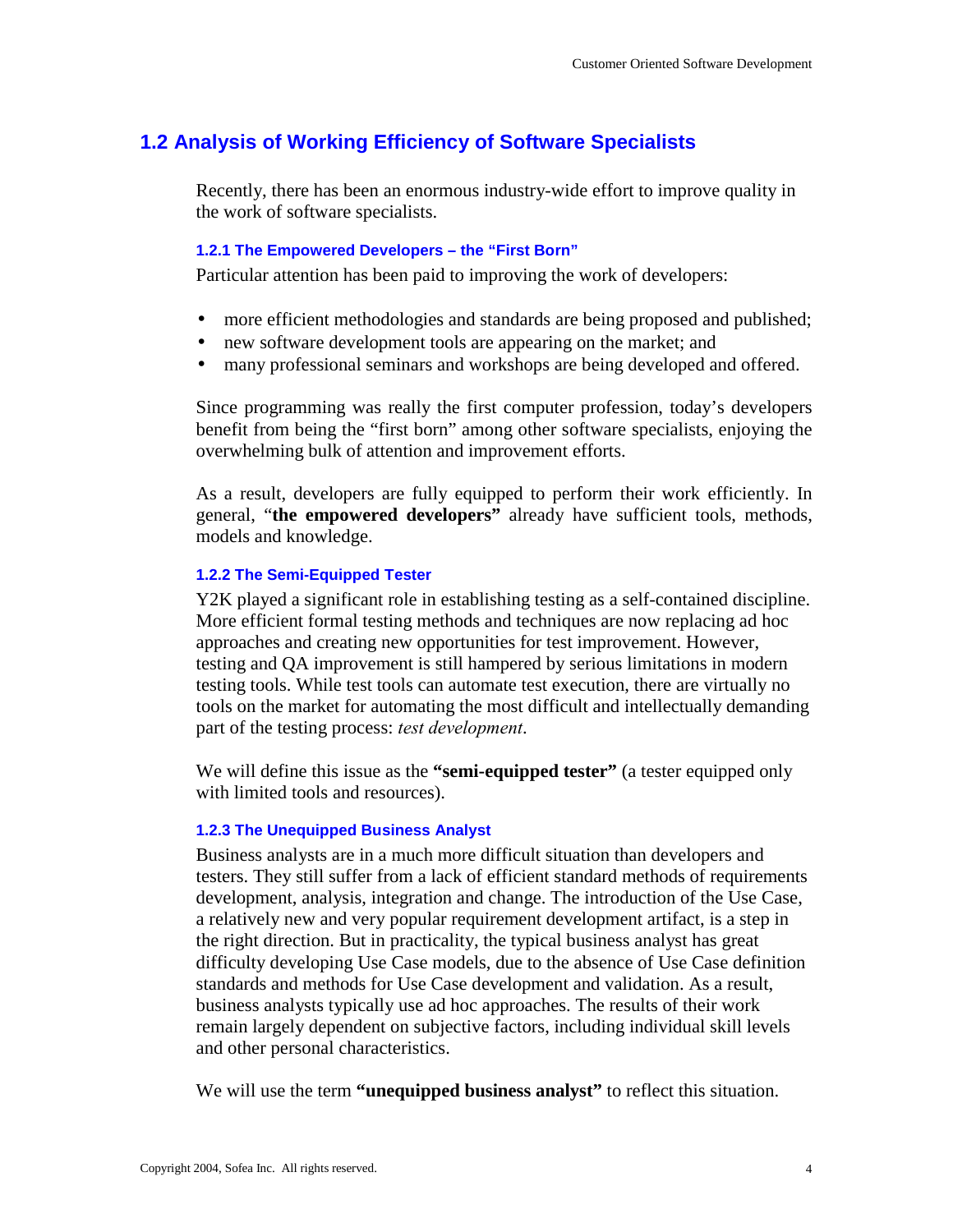# **1.2 Analysis of Working Efficiency of Software Specialists**

Recently, there has been an enormous industry-wide effort to improve quality in the work of software specialists.

## **1.2.1 The Empowered Developers – the "First Born"**

Particular attention has been paid to improving the work of developers:

- more efficient methodologies and standards are being proposed and published;
- new software development tools are appearing on the market; and
- many professional seminars and workshops are being developed and offered.

Since programming was really the first computer profession, today's developers benefit from being the "first born" among other software specialists, enjoying the overwhelming bulk of attention and improvement efforts.

As a result, developers are fully equipped to perform their work efficiently. In general, "**the empowered developers"** already have sufficient tools, methods, models and knowledge.

## **1.2.2 The Semi-Equipped Tester**

Y2K played a significant role in establishing testing as a self-contained discipline. More efficient formal testing methods and techniques are now replacing ad hoc approaches and creating new opportunities for test improvement. However, testing and QA improvement is still hampered by serious limitations in modern testing tools. While test tools can automate test execution, there are virtually no tools on the market for automating the most difficult and intellectually demanding part of the testing process: *test development*.

We will define this issue as the **"semi-equipped tester"** (a tester equipped only with limited tools and resources).

## **1.2.3 The Unequipped Business Analyst**

Business analysts are in a much more difficult situation than developers and testers. They still suffer from a lack of efficient standard methods of requirements development, analysis, integration and change. The introduction of the Use Case, a relatively new and very popular requirement development artifact, is a step in the right direction. But in practicality, the typical business analyst has great difficulty developing Use Case models, due to the absence of Use Case definition standards and methods for Use Case development and validation. As a result, business analysts typically use ad hoc approaches. The results of their work remain largely dependent on subjective factors, including individual skill levels and other personal characteristics.

We will use the term **"unequipped business analyst"** to reflect this situation.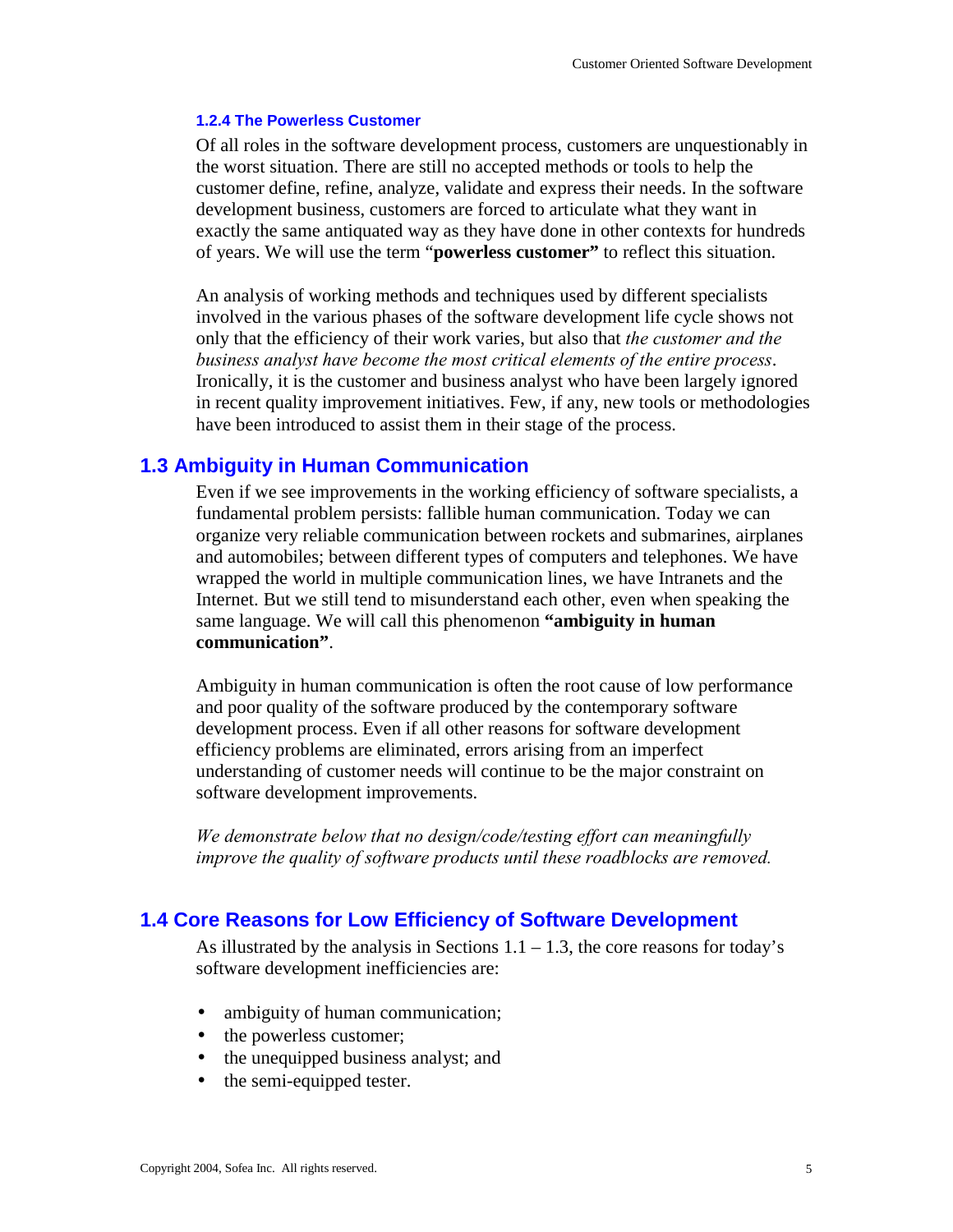## **1.2.4 The Powerless Customer**

Of all roles in the software development process, customers are unquestionably in the worst situation. There are still no accepted methods or tools to help the customer define, refine, analyze, validate and express their needs. In the software development business, customers are forced to articulate what they want in exactly the same antiquated way as they have done in other contexts for hundreds of years. We will use the term "**powerless customer"** to reflect this situation.

An analysis of working methods and techniques used by different specialists involved in the various phases of the software development life cycle shows not only that the efficiency of their work varies, but also that *the customer and the business analyst have become the most critical elements of the entire process*. Ironically, it is the customer and business analyst who have been largely ignored in recent quality improvement initiatives. Few, if any, new tools or methodologies have been introduced to assist them in their stage of the process.

## **1.3 Ambiguity in Human Communication**

Even if we see improvements in the working efficiency of software specialists, a fundamental problem persists: fallible human communication. Today we can organize very reliable communication between rockets and submarines, airplanes and automobiles; between different types of computers and telephones. We have wrapped the world in multiple communication lines, we have Intranets and the Internet. But we still tend to misunderstand each other, even when speaking the same language. We will call this phenomenon **"ambiguity in human communication"**.

Ambiguity in human communication is often the root cause of low performance and poor quality of the software produced by the contemporary software development process. Even if all other reasons for software development efficiency problems are eliminated, errors arising from an imperfect understanding of customer needs will continue to be the major constraint on software development improvements.

*We demonstrate below that no design/code/testing effort can meaningfully improve the quality of software products until these roadblocks are removed.*

## **1.4 Core Reasons for Low Efficiency of Software Development**

As illustrated by the analysis in Sections  $1.1 - 1.3$ , the core reasons for today's software development inefficiencies are:

- ambiguity of human communication;
- the powerless customer;
- the unequipped business analyst; and
- the semi-equipped tester.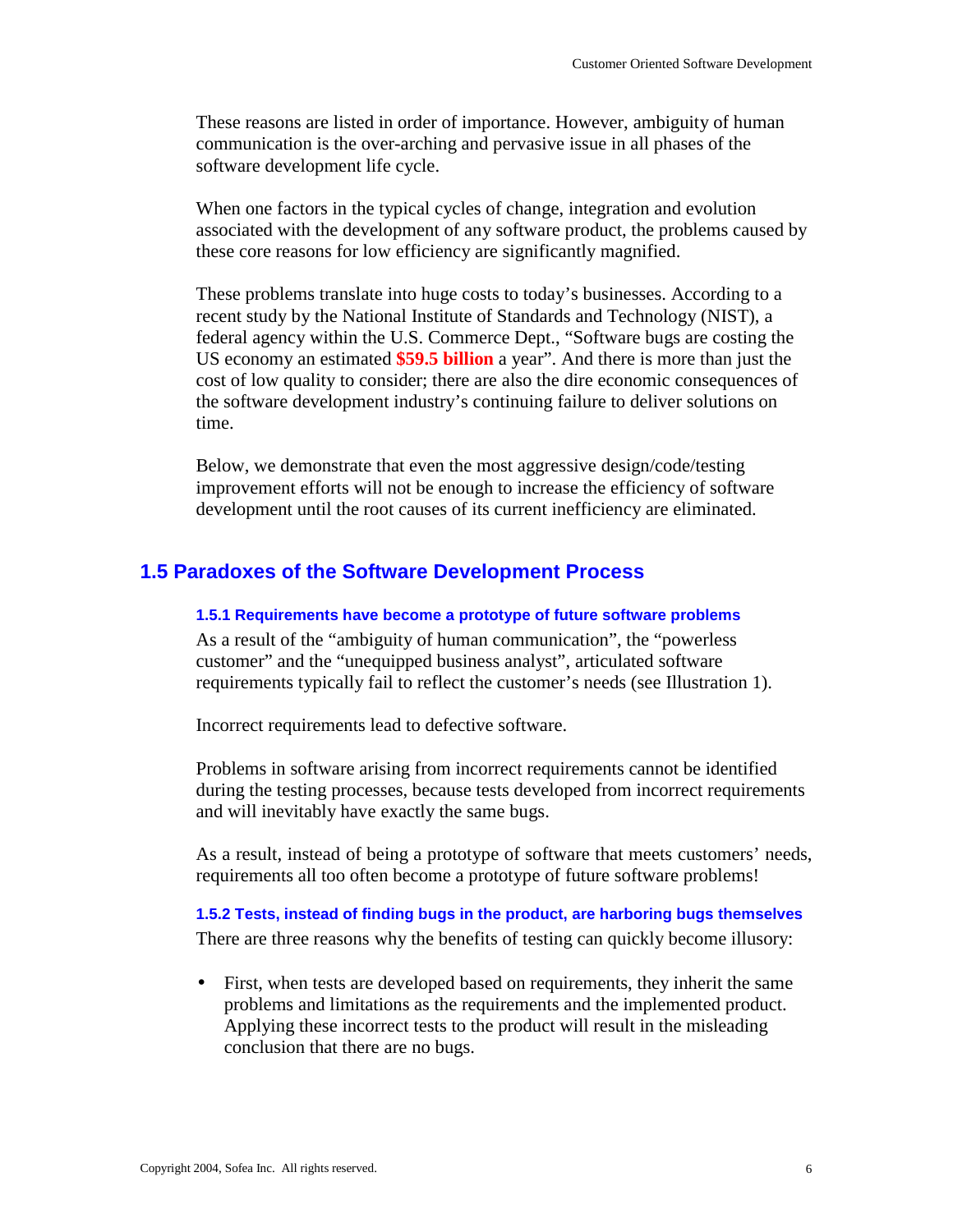These reasons are listed in order of importance. However, ambiguity of human communication is the over-arching and pervasive issue in all phases of the software development life cycle.

When one factors in the typical cycles of change, integration and evolution associated with the development of any software product, the problems caused by these core reasons for low efficiency are significantly magnified.

These problems translate into huge costs to today's businesses. According to a recent study by the National Institute of Standards and Technology (NIST), a federal agency within the U.S. Commerce Dept., "Software bugs are costing the US economy an estimated **\$59.5 billion** a year". And there is more than just the cost of low quality to consider; there are also the dire economic consequences of the software development industry's continuing failure to deliver solutions on time.

Below, we demonstrate that even the most aggressive design/code/testing improvement efforts will not be enough to increase the efficiency of software development until the root causes of its current inefficiency are eliminated.

## **1.5 Paradoxes of the Software Development Process**

## **1.5.1 Requirements have become a prototype of future software problems**

As a result of the "ambiguity of human communication", the "powerless customer" and the "unequipped business analyst", articulated software requirements typically fail to reflect the customer's needs (see Illustration 1).

Incorrect requirements lead to defective software.

Problems in software arising from incorrect requirements cannot be identified during the testing processes, because tests developed from incorrect requirements and will inevitably have exactly the same bugs.

As a result, instead of being a prototype of software that meets customers' needs, requirements all too often become a prototype of future software problems!

**1.5.2 Tests, instead of finding bugs in the product, are harboring bugs themselves**  There are three reasons why the benefits of testing can quickly become illusory:

• First, when tests are developed based on requirements, they inherit the same problems and limitations as the requirements and the implemented product. Applying these incorrect tests to the product will result in the misleading conclusion that there are no bugs.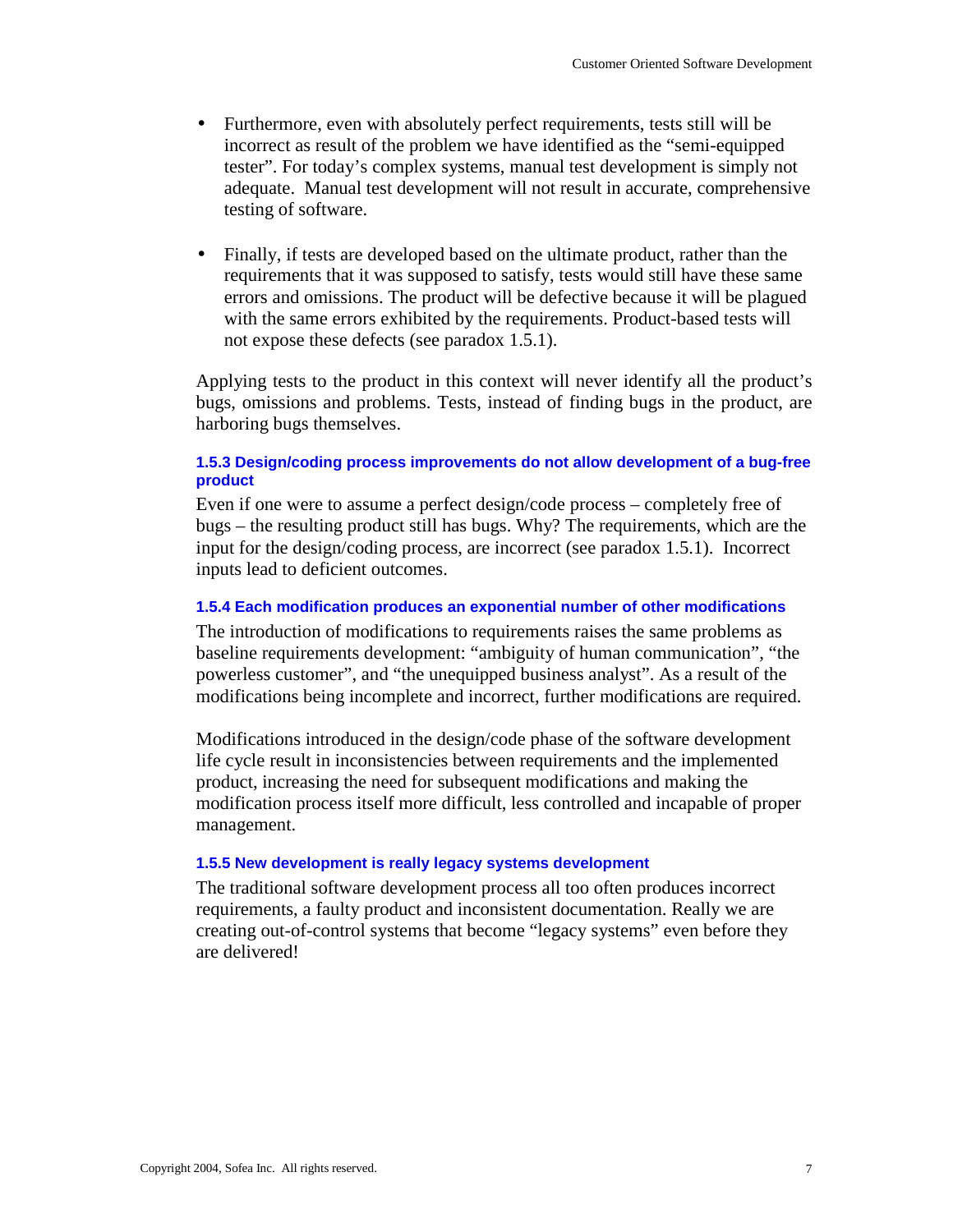- Furthermore, even with absolutely perfect requirements, tests still will be incorrect as result of the problem we have identified as the "semi-equipped tester". For today's complex systems, manual test development is simply not adequate. Manual test development will not result in accurate, comprehensive testing of software.
- Finally, if tests are developed based on the ultimate product, rather than the requirements that it was supposed to satisfy, tests would still have these same errors and omissions. The product will be defective because it will be plagued with the same errors exhibited by the requirements. Product-based tests will not expose these defects (see paradox 1.5.1).

Applying tests to the product in this context will never identify all the product's bugs, omissions and problems. Tests, instead of finding bugs in the product, are harboring bugs themselves.

## **1.5.3 Design/coding process improvements do not allow development of a bug-free product**

Even if one were to assume a perfect design/code process – completely free of bugs – the resulting product still has bugs. Why? The requirements, which are the input for the design/coding process, are incorrect (see paradox 1.5.1). Incorrect inputs lead to deficient outcomes.

### **1.5.4 Each modification produces an exponential number of other modifications**

The introduction of modifications to requirements raises the same problems as baseline requirements development: "ambiguity of human communication", "the powerless customer", and "the unequipped business analyst". As a result of the modifications being incomplete and incorrect, further modifications are required.

Modifications introduced in the design/code phase of the software development life cycle result in inconsistencies between requirements and the implemented product, increasing the need for subsequent modifications and making the modification process itself more difficult, less controlled and incapable of proper management.

### **1.5.5 New development is really legacy systems development**

The traditional software development process all too often produces incorrect requirements, a faulty product and inconsistent documentation. Really we are creating out-of-control systems that become "legacy systems" even before they are delivered!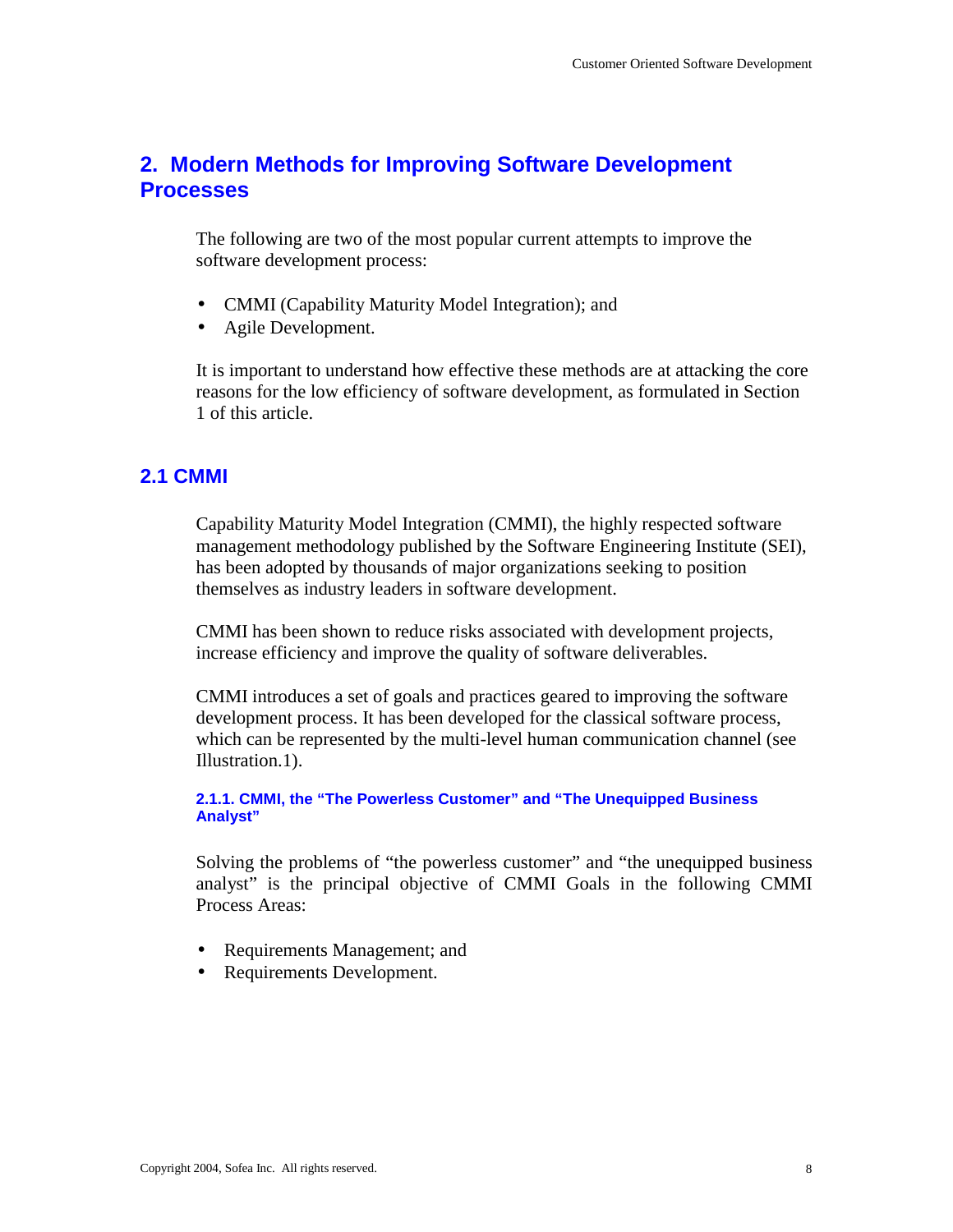# **2. Modern Methods for Improving Software Development Processes**

The following are two of the most popular current attempts to improve the software development process:

- CMMI (Capability Maturity Model Integration); and
- Agile Development.

It is important to understand how effective these methods are at attacking the core reasons for the low efficiency of software development, as formulated in Section 1 of this article.

# **2.1 CMMI**

Capability Maturity Model Integration (CMMI), the highly respected software management methodology published by the Software Engineering Institute (SEI), has been adopted by thousands of major organizations seeking to position themselves as industry leaders in software development.

CMMI has been shown to reduce risks associated with development projects, increase efficiency and improve the quality of software deliverables.

CMMI introduces a set of goals and practices geared to improving the software development process. It has been developed for the classical software process, which can be represented by the multi-level human communication channel (see Illustration.1).

**2.1.1. CMMI, the "The Powerless Customer" and "The Unequipped Business Analyst"** 

Solving the problems of "the powerless customer" and "the unequipped business analyst" is the principal objective of CMMI Goals in the following CMMI Process Areas:

- Requirements Management; and
- Requirements Development.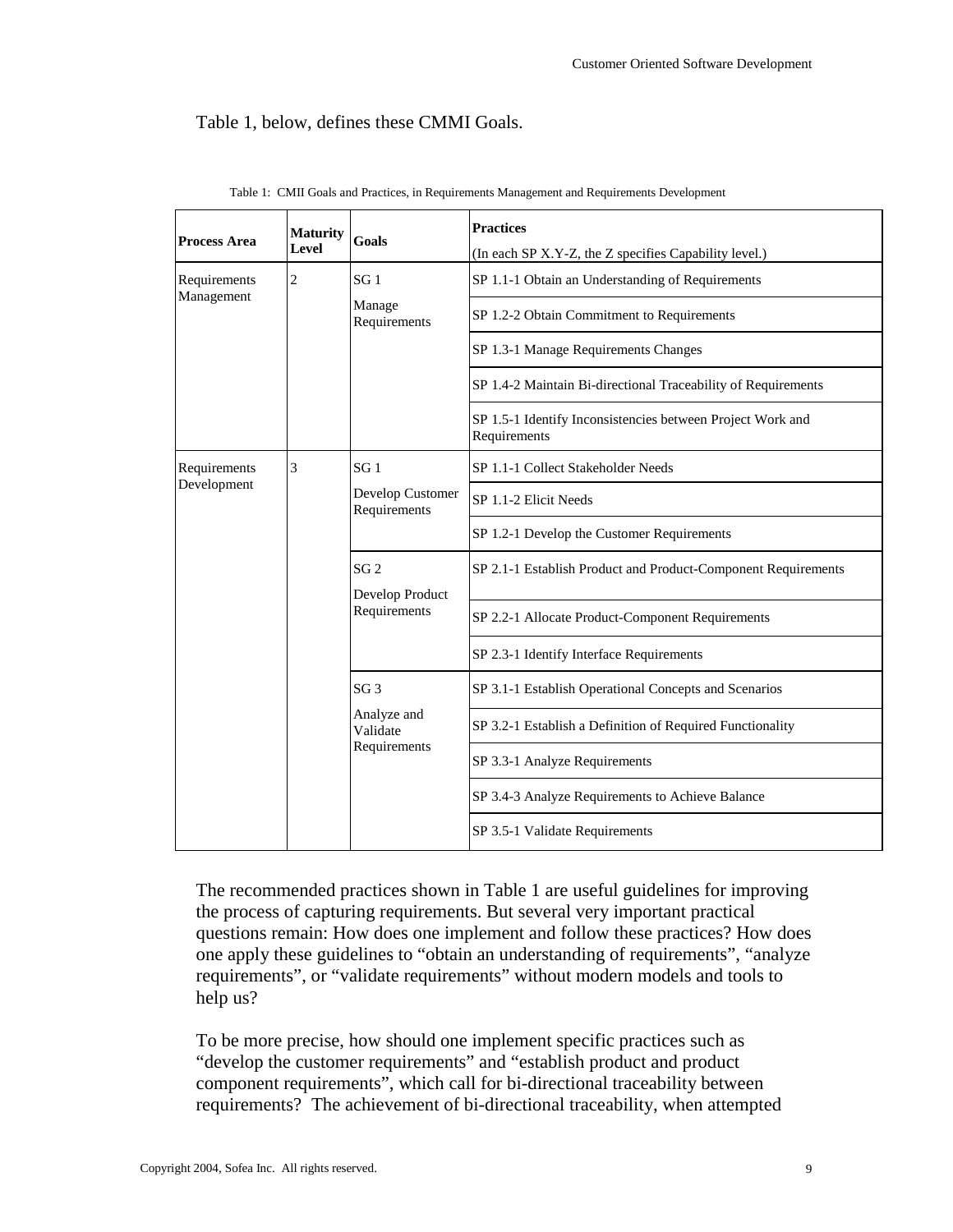# Table 1, below, defines these CMMI Goals.

| <b>Process Area</b>         | <b>Maturity</b><br>Level | <b>Goals</b>                                               | <b>Practices</b><br>(In each SP X.Y-Z, the Z specifies Capability level.)  |  |
|-----------------------------|--------------------------|------------------------------------------------------------|----------------------------------------------------------------------------|--|
| Requirements<br>Management  | $\overline{c}$           | SG <sub>1</sub>                                            | SP 1.1-1 Obtain an Understanding of Requirements                           |  |
|                             |                          | Manage<br>Requirements                                     | SP 1.2-2 Obtain Commitment to Requirements                                 |  |
|                             |                          |                                                            | SP 1.3-1 Manage Requirements Changes                                       |  |
|                             |                          |                                                            | SP 1.4-2 Maintain Bi-directional Traceability of Requirements              |  |
|                             |                          |                                                            | SP 1.5-1 Identify Inconsistencies between Project Work and<br>Requirements |  |
| Requirements<br>Development | 3                        | SG <sub>1</sub>                                            | SP 1.1-1 Collect Stakeholder Needs                                         |  |
|                             |                          | Develop Customer<br>Requirements                           | SP 1.1-2 Elicit Needs                                                      |  |
|                             |                          |                                                            | SP 1.2-1 Develop the Customer Requirements                                 |  |
|                             |                          | SG <sub>2</sub><br>Develop Product<br>Requirements         | SP 2.1-1 Establish Product and Product-Component Requirements              |  |
|                             |                          |                                                            | SP 2.2-1 Allocate Product-Component Requirements                           |  |
|                             |                          |                                                            | SP 2.3-1 Identify Interface Requirements                                   |  |
|                             |                          | SG <sub>3</sub><br>Analyze and<br>Validate<br>Requirements | SP 3.1-1 Establish Operational Concepts and Scenarios                      |  |
|                             |                          |                                                            | SP 3.2-1 Establish a Definition of Required Functionality                  |  |
|                             |                          |                                                            | SP 3.3-1 Analyze Requirements                                              |  |
|                             |                          |                                                            | SP 3.4-3 Analyze Requirements to Achieve Balance                           |  |
|                             |                          |                                                            | SP 3.5-1 Validate Requirements                                             |  |

Table 1: CMII Goals and Practices, in Requirements Management and Requirements Development

The recommended practices shown in Table 1 are useful guidelines for improving the process of capturing requirements. But several very important practical questions remain: How does one implement and follow these practices? How does one apply these guidelines to "obtain an understanding of requirements", "analyze requirements", or "validate requirements" without modern models and tools to help us?

To be more precise, how should one implement specific practices such as "develop the customer requirements" and "establish product and product component requirements", which call for bi-directional traceability between requirements? The achievement of bi-directional traceability, when attempted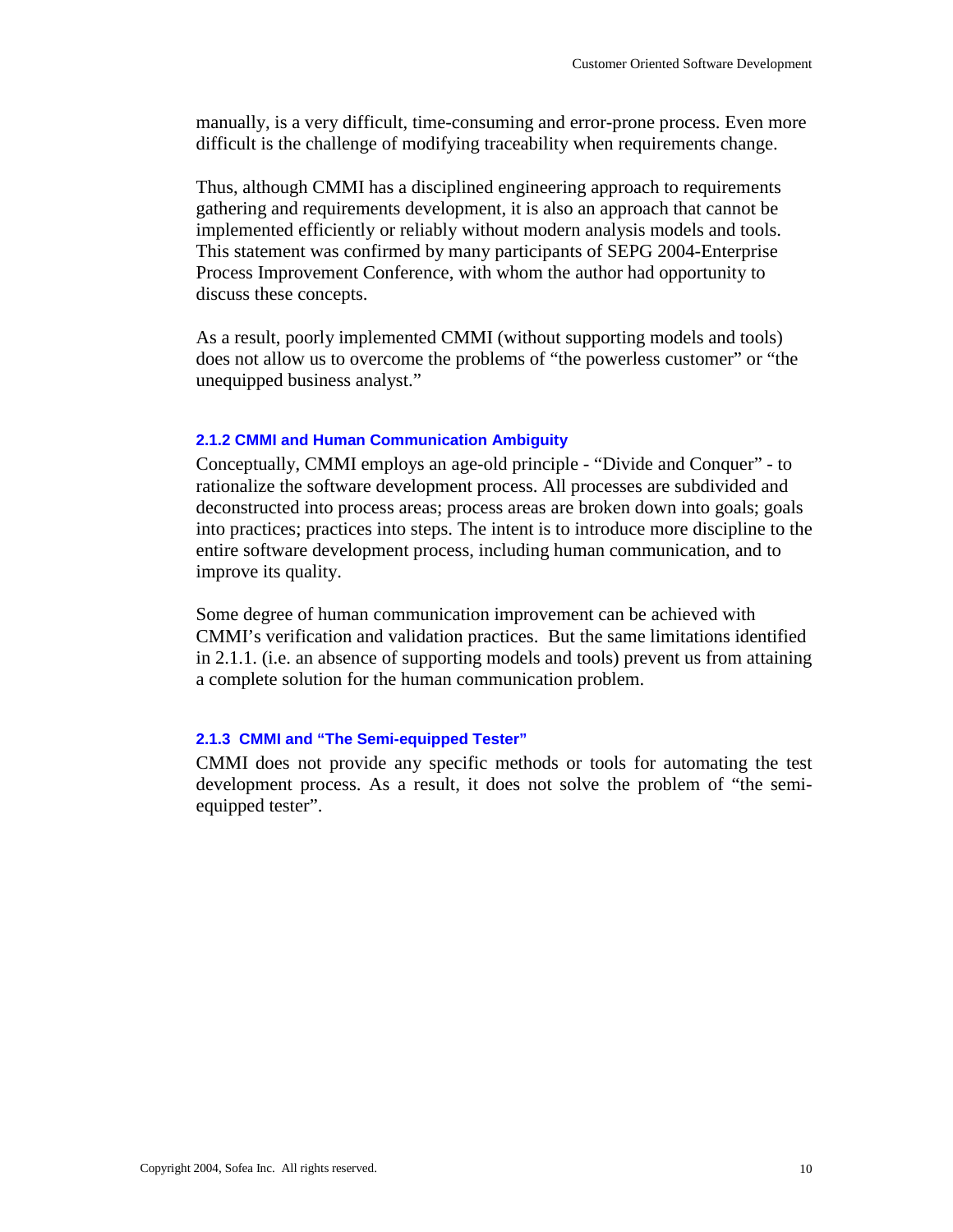manually, is a very difficult, time-consuming and error-prone process. Even more difficult is the challenge of modifying traceability when requirements change.

Thus, although CMMI has a disciplined engineering approach to requirements gathering and requirements development, it is also an approach that cannot be implemented efficiently or reliably without modern analysis models and tools. This statement was confirmed by many participants of SEPG 2004-Enterprise Process Improvement Conference, with whom the author had opportunity to discuss these concepts.

As a result, poorly implemented CMMI (without supporting models and tools) does not allow us to overcome the problems of "the powerless customer" or "the unequipped business analyst."

### **2.1.2 CMMI and Human Communication Ambiguity**

Conceptually, CMMI employs an age-old principle - "Divide and Conquer" - to rationalize the software development process. All processes are subdivided and deconstructed into process areas; process areas are broken down into goals; goals into practices; practices into steps. The intent is to introduce more discipline to the entire software development process, including human communication, and to improve its quality.

Some degree of human communication improvement can be achieved with CMMI's verification and validation practices. But the same limitations identified in 2.1.1. (i.e. an absence of supporting models and tools) prevent us from attaining a complete solution for the human communication problem.

### **2.1.3 CMMI and "The Semi-equipped Tester"**

CMMI does not provide any specific methods or tools for automating the test development process. As a result, it does not solve the problem of "the semiequipped tester".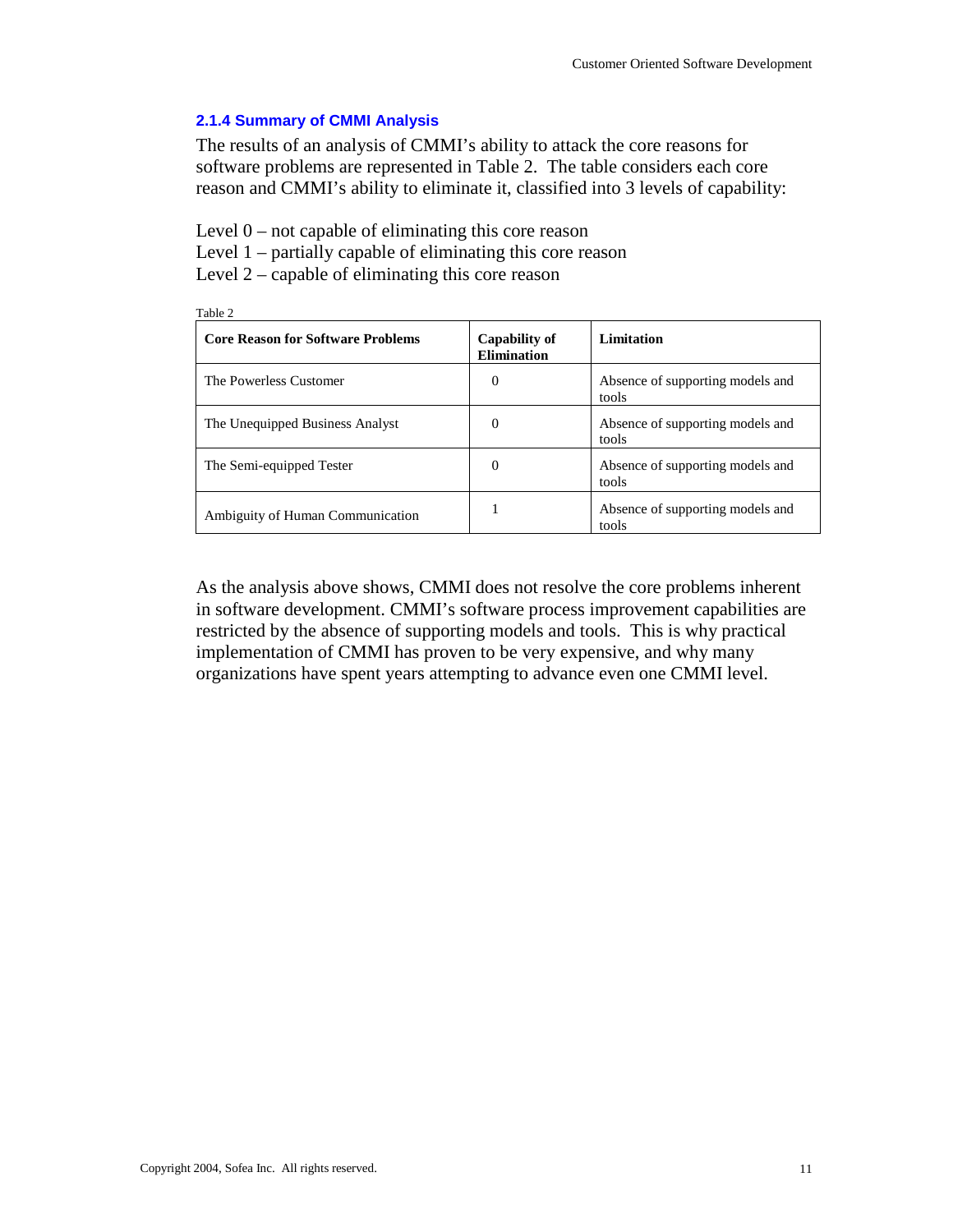## **2.1.4 Summary of CMMI Analysis**

The results of an analysis of CMMI's ability to attack the core reasons for software problems are represented in Table 2. The table considers each core reason and CMMI's ability to eliminate it, classified into 3 levels of capability:

Level 0 – not capable of eliminating this core reason

Level 1 – partially capable of eliminating this core reason

Level 2 – capable of eliminating this core reason

| Table 2                                  |                                     |                                           |  |  |  |
|------------------------------------------|-------------------------------------|-------------------------------------------|--|--|--|
| <b>Core Reason for Software Problems</b> | <b>Capability of</b><br>Elimination | Limitation                                |  |  |  |
| The Powerless Customer                   | $\Omega$                            | Absence of supporting models and<br>tools |  |  |  |
| The Unequipped Business Analyst          | $\theta$                            | Absence of supporting models and<br>tools |  |  |  |
| The Semi-equipped Tester                 | $\Omega$                            | Absence of supporting models and<br>tools |  |  |  |
| Ambiguity of Human Communication         |                                     | Absence of supporting models and<br>tools |  |  |  |

As the analysis above shows, CMMI does not resolve the core problems inherent in software development. CMMI's software process improvement capabilities are restricted by the absence of supporting models and tools. This is why practical implementation of CMMI has proven to be very expensive, and why many organizations have spent years attempting to advance even one CMMI level.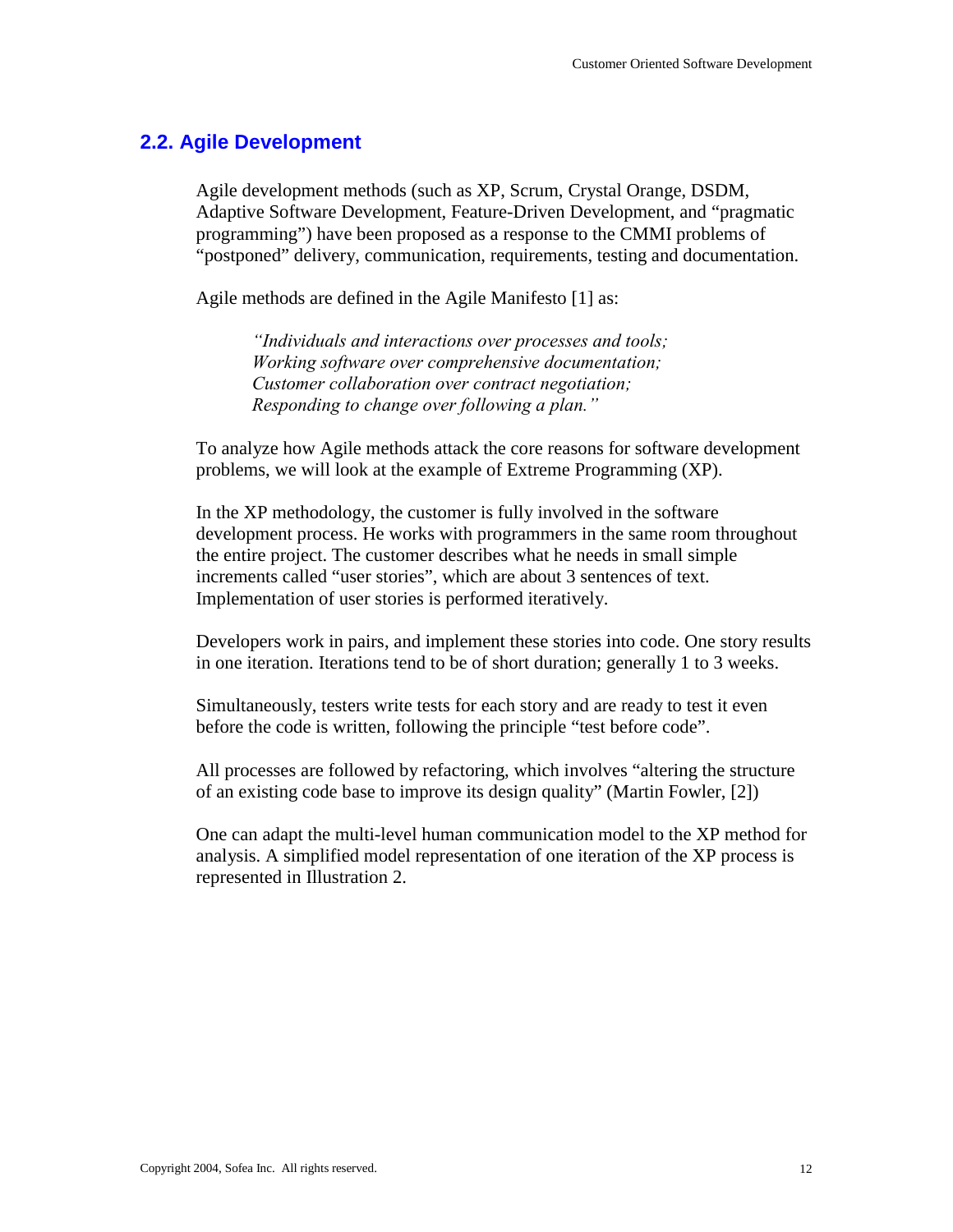# **2.2. Agile Development**

Agile development methods (such as XP, Scrum, Crystal Orange, DSDM, Adaptive Software Development, Feature-Driven Development, and "pragmatic programming") have been proposed as a response to the CMMI problems of "postponed" delivery, communication, requirements, testing and documentation.

Agile methods are defined in the Agile Manifesto [1] as:

*"Individuals and interactions over processes and tools; Working software over comprehensive documentation; Customer collaboration over contract negotiation; Responding to change over following a plan."* 

To analyze how Agile methods attack the core reasons for software development problems, we will look at the example of Extreme Programming (XP).

In the XP methodology, the customer is fully involved in the software development process. He works with programmers in the same room throughout the entire project. The customer describes what he needs in small simple increments called "user stories", which are about 3 sentences of text. Implementation of user stories is performed iteratively.

Developers work in pairs, and implement these stories into code. One story results in one iteration. Iterations tend to be of short duration; generally 1 to 3 weeks.

Simultaneously, testers write tests for each story and are ready to test it even before the code is written, following the principle "test before code".

All processes are followed by refactoring, which involves "altering the structure of an existing code base to improve its design quality" (Martin Fowler, [2])

One can adapt the multi-level human communication model to the XP method for analysis. A simplified model representation of one iteration of the XP process is represented in Illustration 2.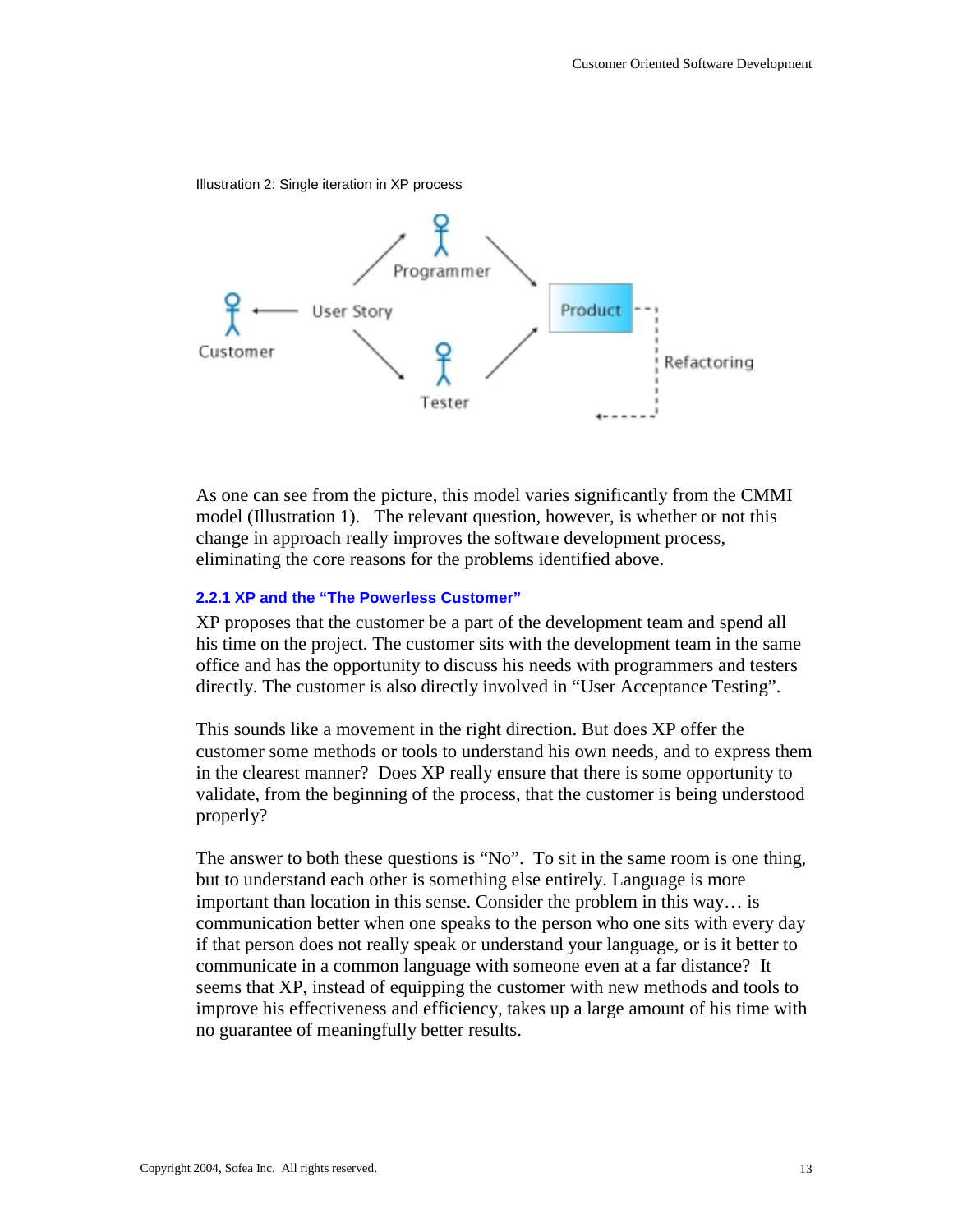Illustration 2: Single iteration in XP process



As one can see from the picture, this model varies significantly from the CMMI model (Illustration 1). The relevant question, however, is whether or not this change in approach really improves the software development process, eliminating the core reasons for the problems identified above.

#### **2.2.1 XP and the "The Powerless Customer"**

XP proposes that the customer be a part of the development team and spend all his time on the project. The customer sits with the development team in the same office and has the opportunity to discuss his needs with programmers and testers directly. The customer is also directly involved in "User Acceptance Testing".

This sounds like a movement in the right direction. But does XP offer the customer some methods or tools to understand his own needs, and to express them in the clearest manner? Does XP really ensure that there is some opportunity to validate, from the beginning of the process, that the customer is being understood properly?

The answer to both these questions is "No". To sit in the same room is one thing, but to understand each other is something else entirely. Language is more important than location in this sense. Consider the problem in this way… is communication better when one speaks to the person who one sits with every day if that person does not really speak or understand your language, or is it better to communicate in a common language with someone even at a far distance? It seems that XP, instead of equipping the customer with new methods and tools to improve his effectiveness and efficiency, takes up a large amount of his time with no guarantee of meaningfully better results.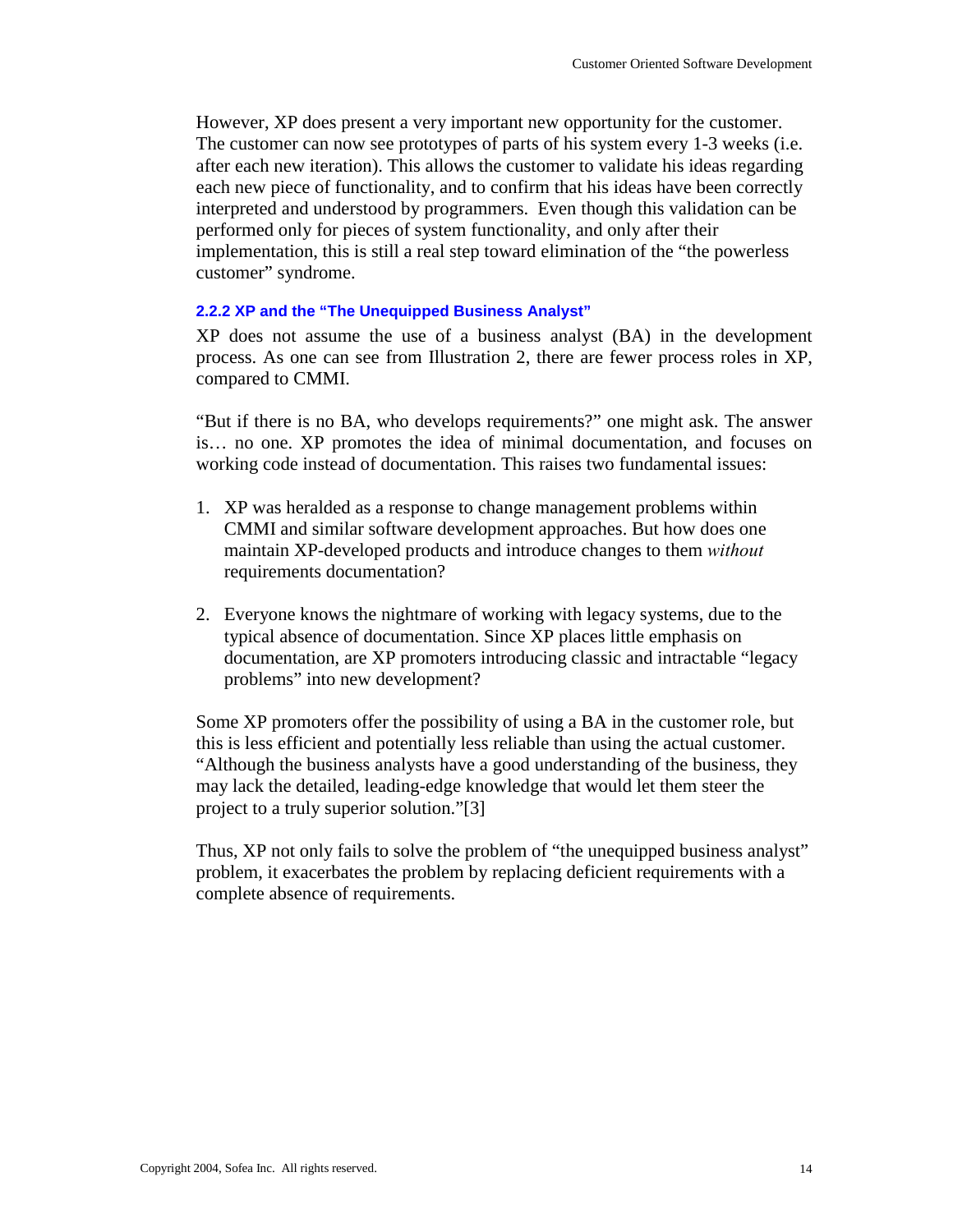However, XP does present a very important new opportunity for the customer. The customer can now see prototypes of parts of his system every 1-3 weeks (i.e. after each new iteration). This allows the customer to validate his ideas regarding each new piece of functionality, and to confirm that his ideas have been correctly interpreted and understood by programmers. Even though this validation can be performed only for pieces of system functionality, and only after their implementation, this is still a real step toward elimination of the "the powerless customer" syndrome.

## **2.2.2 XP and the "The Unequipped Business Analyst"**

XP does not assume the use of a business analyst (BA) in the development process. As one can see from Illustration 2, there are fewer process roles in XP, compared to CMMI.

"But if there is no BA, who develops requirements?" one might ask. The answer is… no one. XP promotes the idea of minimal documentation, and focuses on working code instead of documentation. This raises two fundamental issues:

- 1. XP was heralded as a response to change management problems within CMMI and similar software development approaches. But how does one maintain XP-developed products and introduce changes to them *without* requirements documentation?
- 2. Everyone knows the nightmare of working with legacy systems, due to the typical absence of documentation. Since XP places little emphasis on documentation, are XP promoters introducing classic and intractable "legacy problems" into new development?

Some XP promoters offer the possibility of using a BA in the customer role, but this is less efficient and potentially less reliable than using the actual customer. "Although the business analysts have a good understanding of the business, they may lack the detailed, leading-edge knowledge that would let them steer the project to a truly superior solution."[3]

Thus, XP not only fails to solve the problem of "the unequipped business analyst" problem, it exacerbates the problem by replacing deficient requirements with a complete absence of requirements.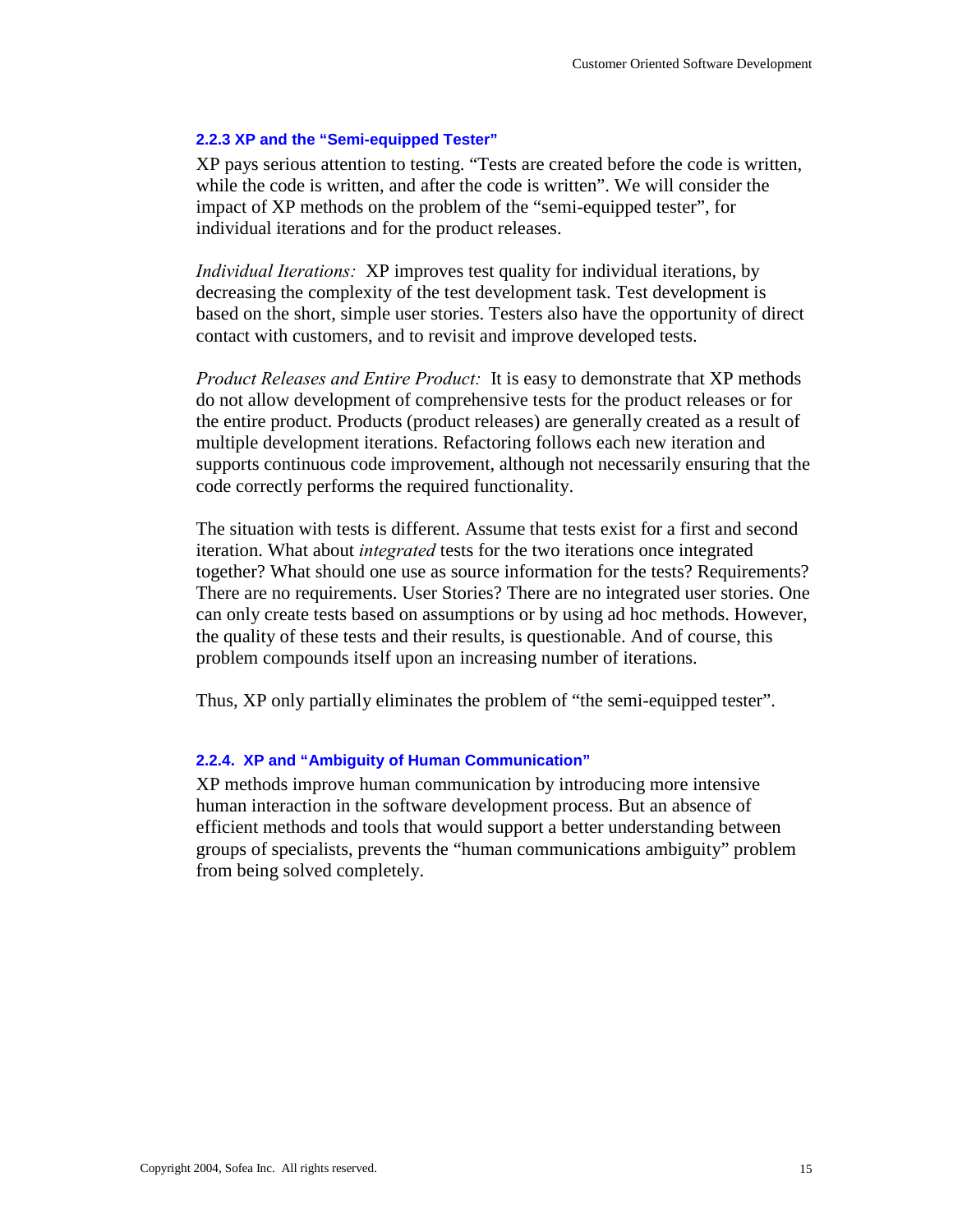#### **2.2.3 XP and the "Semi-equipped Tester"**

XP pays serious attention to testing. "Tests are created before the code is written, while the code is written, and after the code is written". We will consider the impact of XP methods on the problem of the "semi-equipped tester", for individual iterations and for the product releases.

*Individual Iterations:* XP improves test quality for individual iterations, by decreasing the complexity of the test development task. Test development is based on the short, simple user stories. Testers also have the opportunity of direct contact with customers, and to revisit and improve developed tests.

*Product Releases and Entire Product:* It is easy to demonstrate that XP methods do not allow development of comprehensive tests for the product releases or for the entire product. Products (product releases) are generally created as a result of multiple development iterations. Refactoring follows each new iteration and supports continuous code improvement, although not necessarily ensuring that the code correctly performs the required functionality.

The situation with tests is different. Assume that tests exist for a first and second iteration. What about *integrated* tests for the two iterations once integrated together? What should one use as source information for the tests? Requirements? There are no requirements. User Stories? There are no integrated user stories. One can only create tests based on assumptions or by using ad hoc methods. However, the quality of these tests and their results, is questionable. And of course, this problem compounds itself upon an increasing number of iterations.

Thus, XP only partially eliminates the problem of "the semi-equipped tester".

## **2.2.4. XP and "Ambiguity of Human Communication"**

XP methods improve human communication by introducing more intensive human interaction in the software development process. But an absence of efficient methods and tools that would support a better understanding between groups of specialists, prevents the "human communications ambiguity" problem from being solved completely.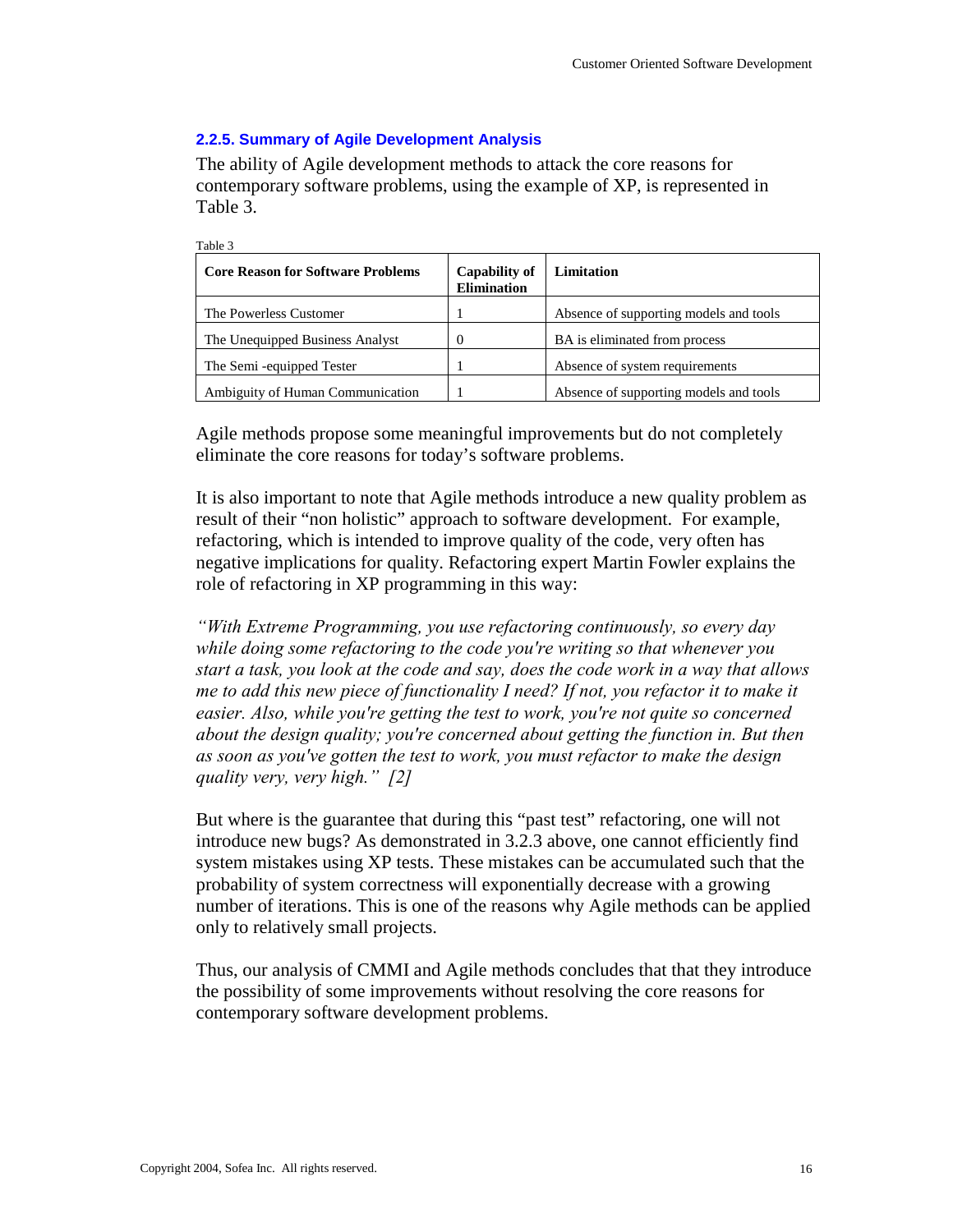## **2.2.5. Summary of Agile Development Analysis**

Table 3

The ability of Agile development methods to attack the core reasons for contemporary software problems, using the example of XP, is represented in Table 3.

| $1400C$ .                                |                                            |                                        |  |  |
|------------------------------------------|--------------------------------------------|----------------------------------------|--|--|
| <b>Core Reason for Software Problems</b> | <b>Capability of</b><br><b>Elimination</b> | Limitation                             |  |  |
| The Powerless Customer                   |                                            | Absence of supporting models and tools |  |  |
| The Unequipped Business Analyst          |                                            | BA is eliminated from process          |  |  |
| The Semi -equipped Tester                |                                            | Absence of system requirements         |  |  |
| Ambiguity of Human Communication         |                                            | Absence of supporting models and tools |  |  |

Agile methods propose some meaningful improvements but do not completely eliminate the core reasons for today's software problems.

It is also important to note that Agile methods introduce a new quality problem as result of their "non holistic" approach to software development. For example, refactoring, which is intended to improve quality of the code, very often has negative implications for quality. Refactoring expert Martin Fowler explains the role of refactoring in XP programming in this way:

*"With Extreme Programming, you use refactoring continuously, so every day while doing some refactoring to the code you're writing so that whenever you start a task, you look at the code and say, does the code work in a way that allows me to add this new piece of functionality I need? If not, you refactor it to make it easier. Also, while you're getting the test to work, you're not quite so concerned about the design quality; you're concerned about getting the function in. But then as soon as you've gotten the test to work, you must refactor to make the design quality very, very high." [2]* 

But where is the guarantee that during this "past test" refactoring, one will not introduce new bugs? As demonstrated in 3.2.3 above, one cannot efficiently find system mistakes using XP tests. These mistakes can be accumulated such that the probability of system correctness will exponentially decrease with a growing number of iterations. This is one of the reasons why Agile methods can be applied only to relatively small projects.

Thus, our analysis of CMMI and Agile methods concludes that that they introduce the possibility of some improvements without resolving the core reasons for contemporary software development problems.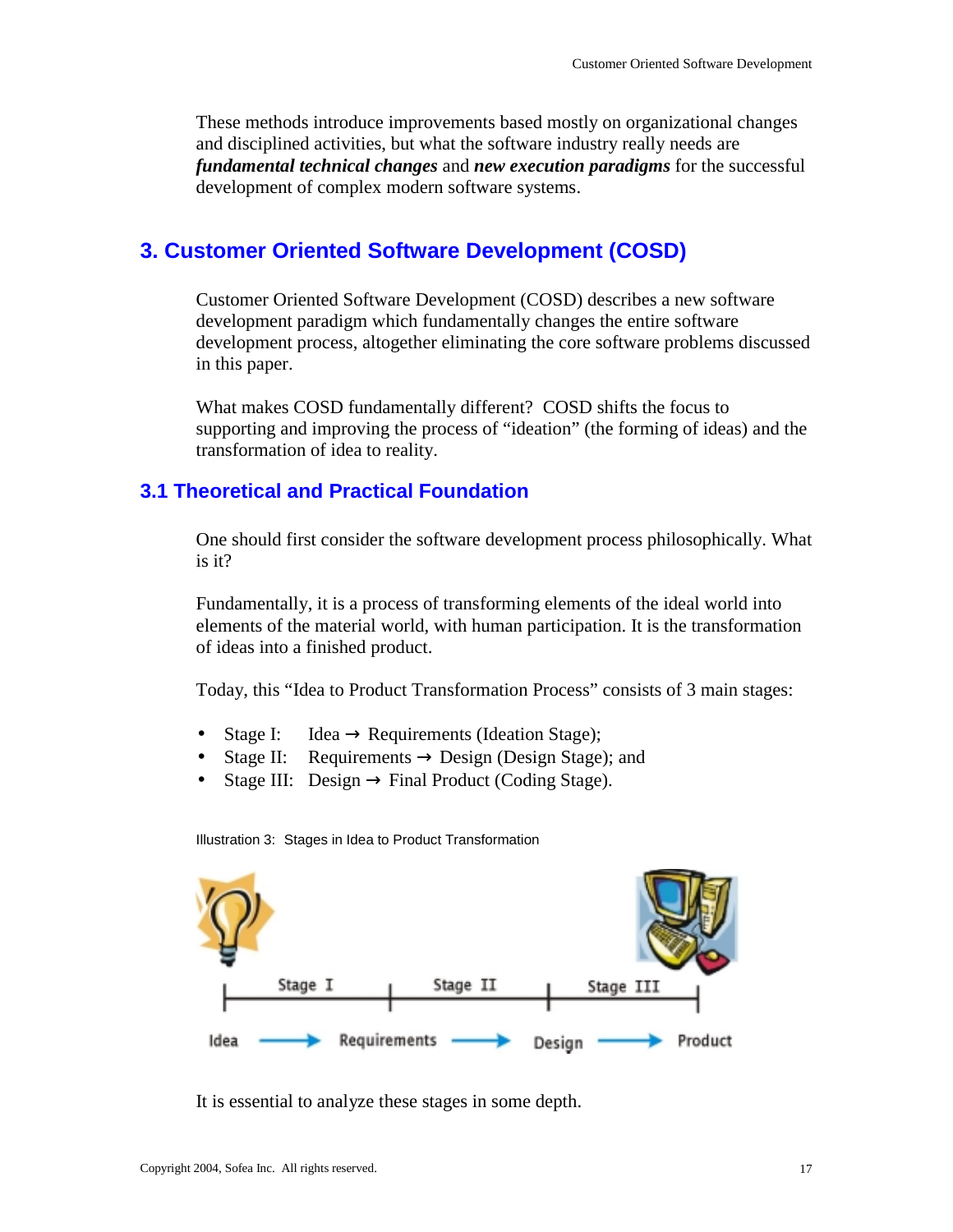These methods introduce improvements based mostly on organizational changes and disciplined activities, but what the software industry really needs are *fundamental technical changes* and *new execution paradigms* for the successful development of complex modern software systems.

# **3. Customer Oriented Software Development (COSD)**

Customer Oriented Software Development (COSD) describes a new software development paradigm which fundamentally changes the entire software development process, altogether eliminating the core software problems discussed in this paper.

What makes COSD fundamentally different? COSD shifts the focus to supporting and improving the process of "ideation" (the forming of ideas) and the transformation of idea to reality.

# **3.1 Theoretical and Practical Foundation**

One should first consider the software development process philosophically. What is it?

Fundamentally, it is a process of transforming elements of the ideal world into elements of the material world, with human participation. It is the transformation of ideas into a finished product.

Today, this "Idea to Product Transformation Process" consists of 3 main stages:

- Stage I: Idea  $\rightarrow$  Requirements (Ideation Stage);
- Stage II: Requirements  $\rightarrow$  Design (Design Stage); and
- Stage III: Design  $\rightarrow$  Final Product (Coding Stage).



Illustration 3: Stages in Idea to Product Transformation

It is essential to analyze these stages in some depth.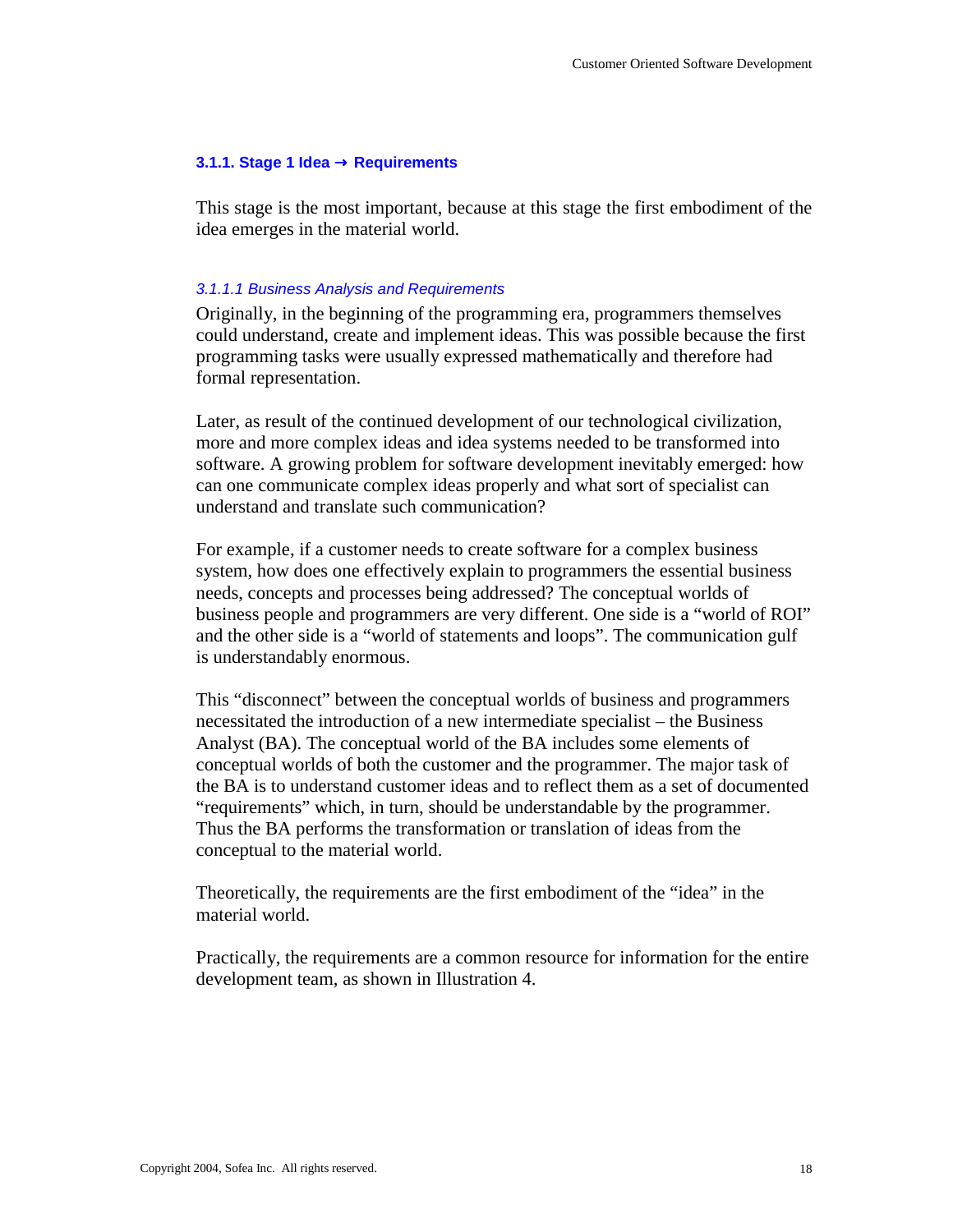### **3.1.1. Stage 1 Idea** → **Requirements**

This stage is the most important, because at this stage the first embodiment of the idea emerges in the material world.

#### *3.1.1.1 Business Analysis and Requirements*

Originally, in the beginning of the programming era, programmers themselves could understand, create and implement ideas. This was possible because the first programming tasks were usually expressed mathematically and therefore had formal representation.

Later, as result of the continued development of our technological civilization, more and more complex ideas and idea systems needed to be transformed into software. A growing problem for software development inevitably emerged: how can one communicate complex ideas properly and what sort of specialist can understand and translate such communication?

For example, if a customer needs to create software for a complex business system, how does one effectively explain to programmers the essential business needs, concepts and processes being addressed? The conceptual worlds of business people and programmers are very different. One side is a "world of ROI" and the other side is a "world of statements and loops". The communication gulf is understandably enormous.

This "disconnect" between the conceptual worlds of business and programmers necessitated the introduction of a new intermediate specialist – the Business Analyst (BA). The conceptual world of the BA includes some elements of conceptual worlds of both the customer and the programmer. The major task of the BA is to understand customer ideas and to reflect them as a set of documented "requirements" which, in turn, should be understandable by the programmer. Thus the BA performs the transformation or translation of ideas from the conceptual to the material world.

Theoretically, the requirements are the first embodiment of the "idea" in the material world.

Practically, the requirements are a common resource for information for the entire development team, as shown in Illustration 4.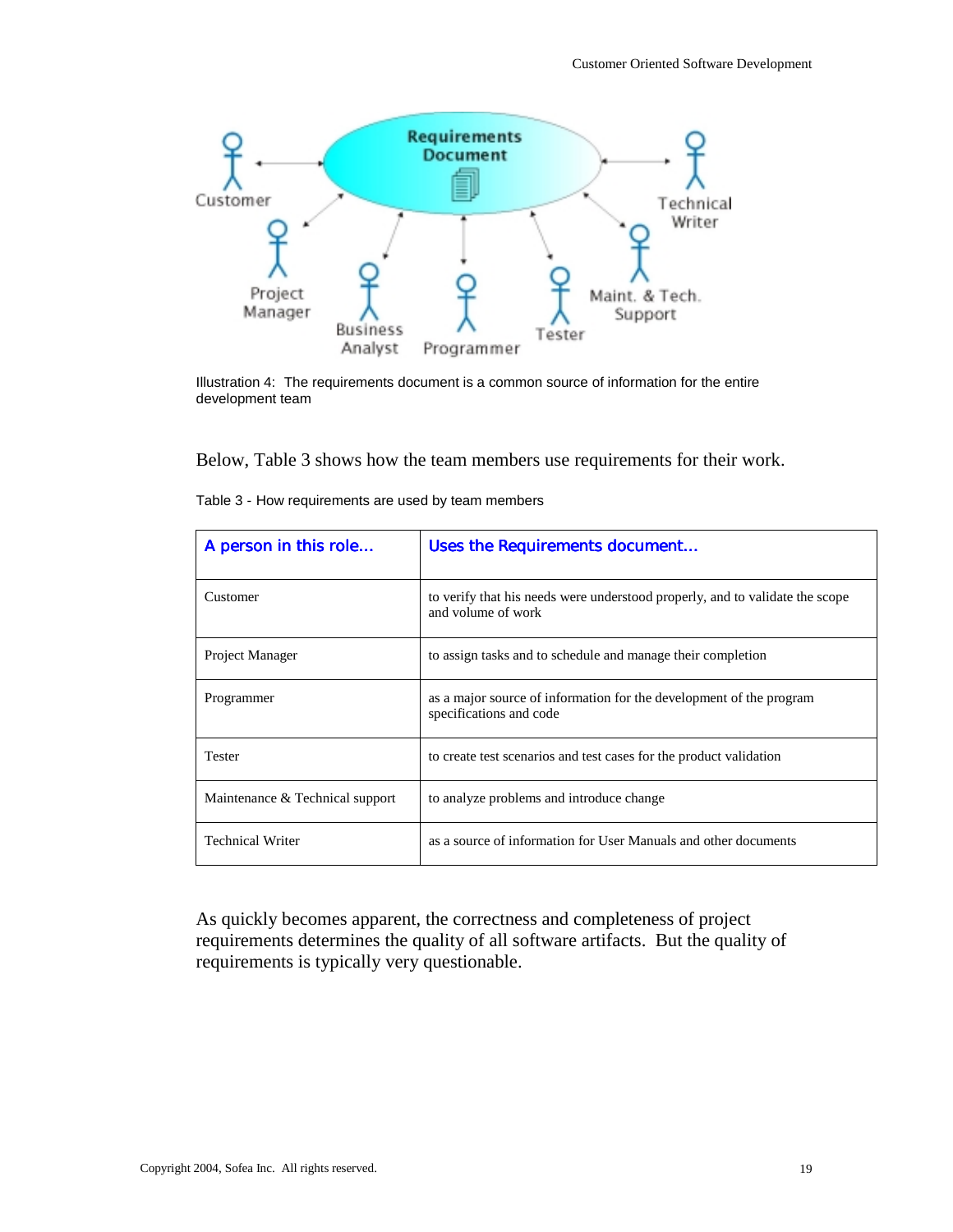

Illustration 4: The requirements document is a common source of information for the entire development team

Below, Table 3 shows how the team members use requirements for their work.

| A person in this role           | Uses the Requirements document                                                                     |  |
|---------------------------------|----------------------------------------------------------------------------------------------------|--|
| Customer                        | to verify that his needs were understood properly, and to validate the scope<br>and volume of work |  |
| Project Manager                 | to assign tasks and to schedule and manage their completion                                        |  |
| Programmer                      | as a major source of information for the development of the program<br>specifications and code     |  |
| <b>Tester</b>                   | to create test scenarios and test cases for the product validation                                 |  |
| Maintenance & Technical support | to analyze problems and introduce change                                                           |  |
| <b>Technical Writer</b>         | as a source of information for User Manuals and other documents                                    |  |

Table 3 - How requirements are used by team members

As quickly becomes apparent, the correctness and completeness of project requirements determines the quality of all software artifacts. But the quality of requirements is typically very questionable.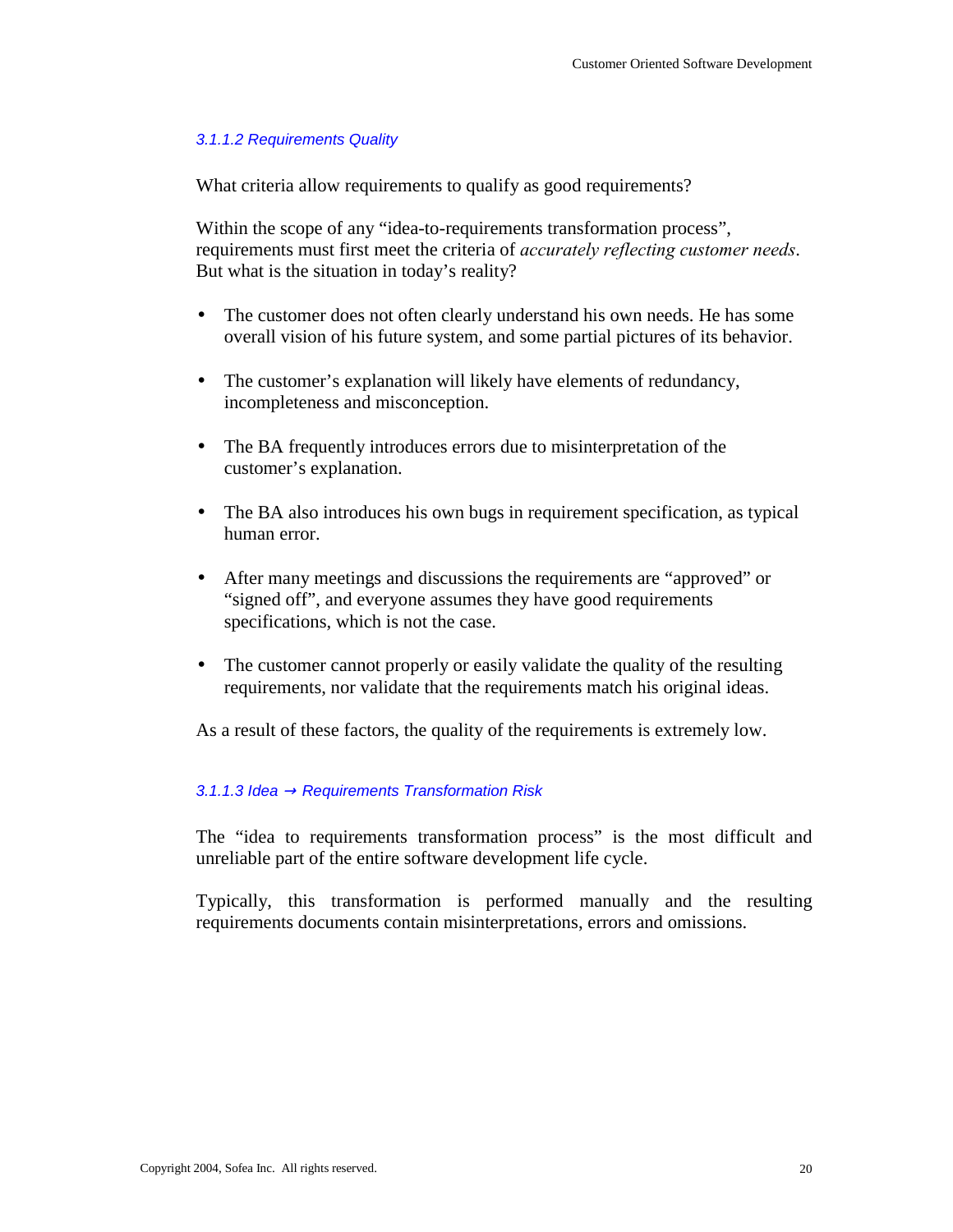## *3.1.1.2 Requirements Quality*

What criteria allow requirements to qualify as good requirements?

Within the scope of any "idea-to-requirements transformation process", requirements must first meet the criteria of *accurately reflecting customer needs*. But what is the situation in today's reality?

- The customer does not often clearly understand his own needs. He has some overall vision of his future system, and some partial pictures of its behavior.
- The customer's explanation will likely have elements of redundancy, incompleteness and misconception.
- The BA frequently introduces errors due to misinterpretation of the customer's explanation.
- The BA also introduces his own bugs in requirement specification, as typical human error.
- After many meetings and discussions the requirements are "approved" or "signed off", and everyone assumes they have good requirements specifications, which is not the case.
- The customer cannot properly or easily validate the quality of the resulting requirements, nor validate that the requirements match his original ideas.

As a result of these factors, the quality of the requirements is extremely low.

## *3.1.1.3 Idea* → *Requirements Transformation Risk*

The "idea to requirements transformation process" is the most difficult and unreliable part of the entire software development life cycle.

Typically, this transformation is performed manually and the resulting requirements documents contain misinterpretations, errors and omissions.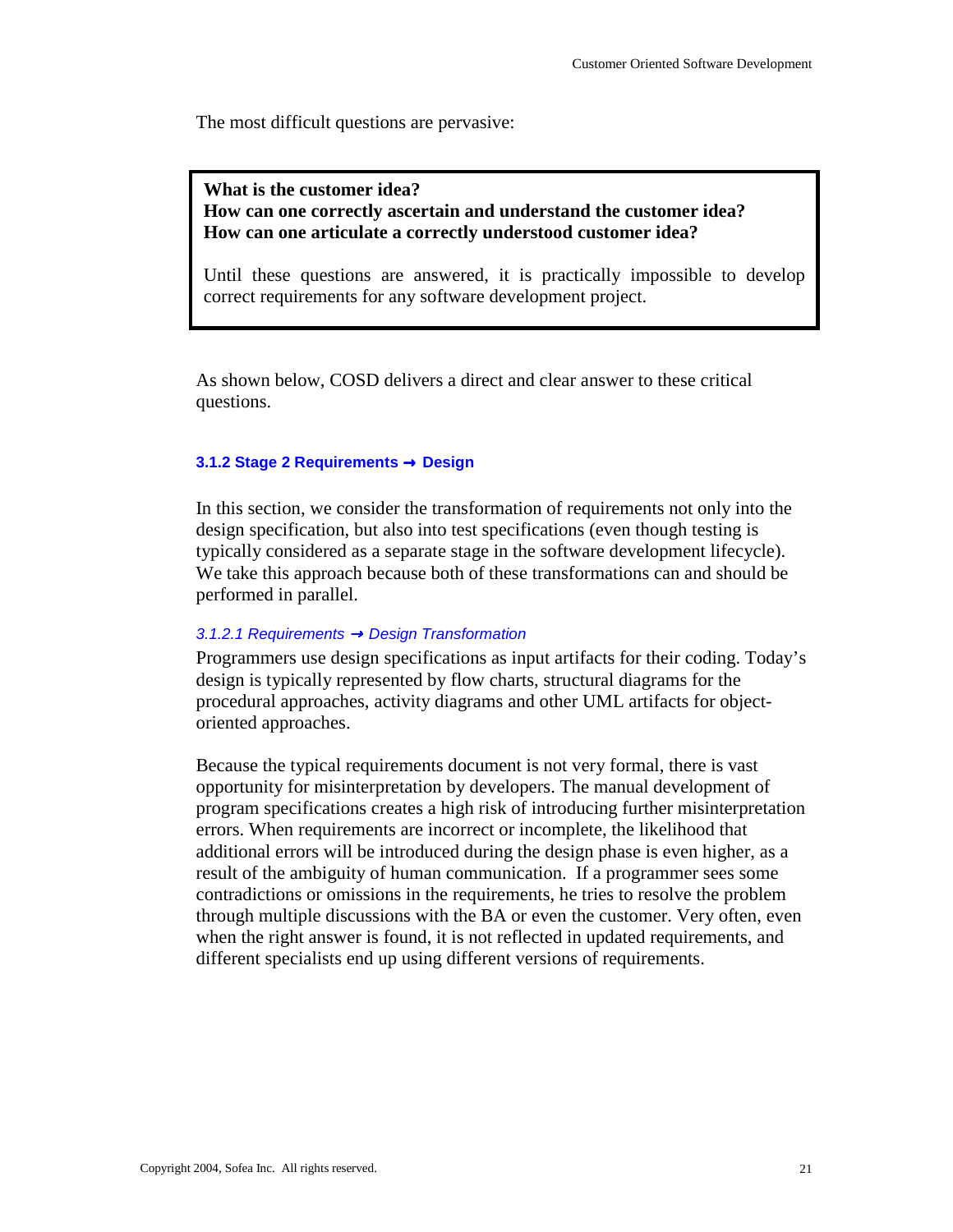The most difficult questions are pervasive:

**What is the customer idea? How can one correctly ascertain and understand the customer idea? How can one articulate a correctly understood customer idea?** 

Until these questions are answered, it is practically impossible to develop correct requirements for any software development project.

As shown below, COSD delivers a direct and clear answer to these critical questions.

## **3.1.2 Stage 2 Requirements** → **Design**

In this section, we consider the transformation of requirements not only into the design specification, but also into test specifications (even though testing is typically considered as a separate stage in the software development lifecycle). We take this approach because both of these transformations can and should be performed in parallel.

## *3.1.2.1 Requirements* → *Design Transformation*

Programmers use design specifications as input artifacts for their coding. Today's design is typically represented by flow charts, structural diagrams for the procedural approaches, activity diagrams and other UML artifacts for objectoriented approaches.

Because the typical requirements document is not very formal, there is vast opportunity for misinterpretation by developers. The manual development of program specifications creates a high risk of introducing further misinterpretation errors. When requirements are incorrect or incomplete, the likelihood that additional errors will be introduced during the design phase is even higher, as a result of the ambiguity of human communication. If a programmer sees some contradictions or omissions in the requirements, he tries to resolve the problem through multiple discussions with the BA or even the customer. Very often, even when the right answer is found, it is not reflected in updated requirements, and different specialists end up using different versions of requirements.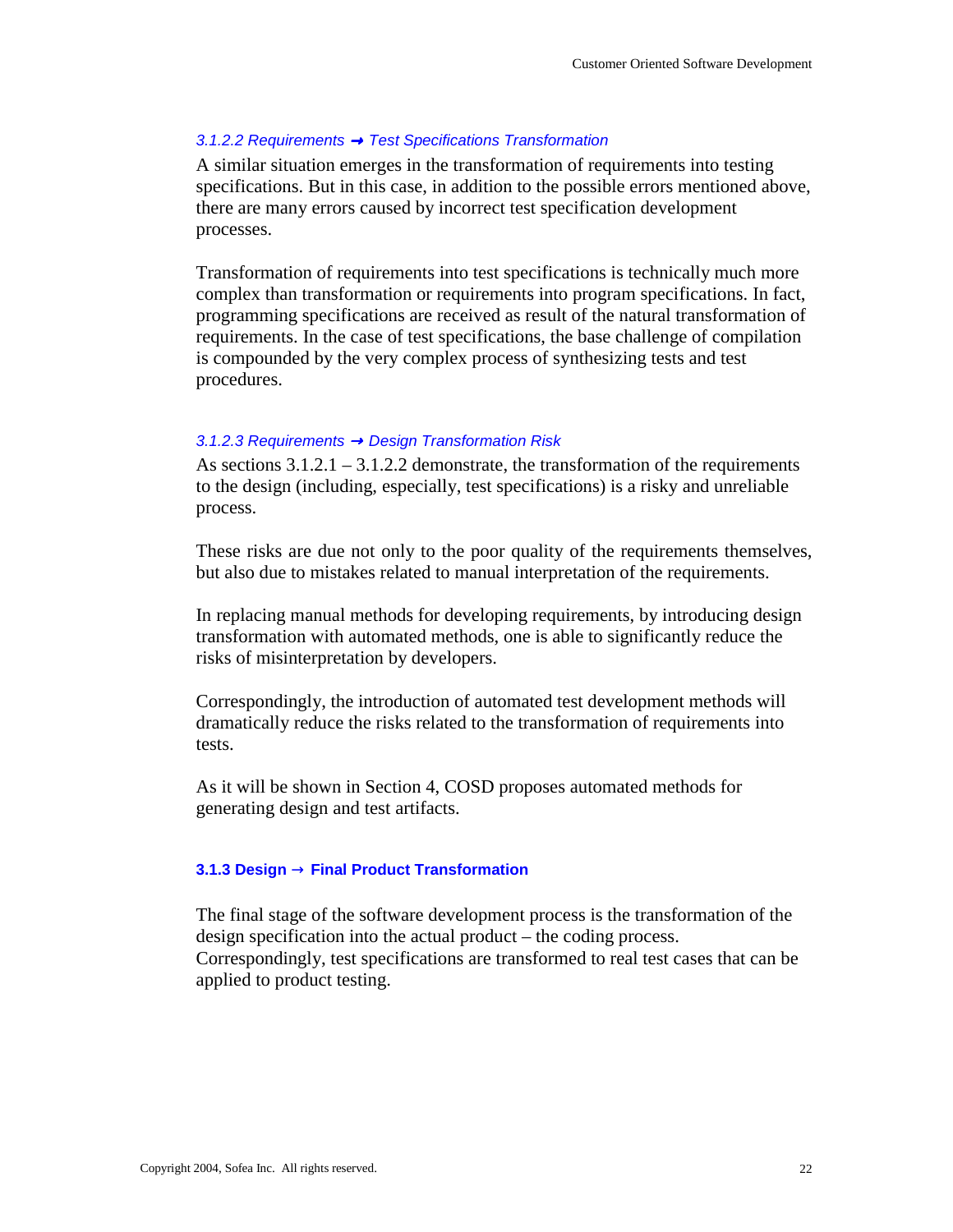### *3.1.2.2 Requirements* → *Test Specifications Transformation*

A similar situation emerges in the transformation of requirements into testing specifications. But in this case, in addition to the possible errors mentioned above, there are many errors caused by incorrect test specification development processes.

Transformation of requirements into test specifications is technically much more complex than transformation or requirements into program specifications. In fact, programming specifications are received as result of the natural transformation of requirements. In the case of test specifications, the base challenge of compilation is compounded by the very complex process of synthesizing tests and test procedures.

### *3.1.2.3 Requirements* → *Design Transformation Risk*

As sections  $3.1.2.1 - 3.1.2.2$  demonstrate, the transformation of the requirements to the design (including, especially, test specifications) is a risky and unreliable process.

These risks are due not only to the poor quality of the requirements themselves, but also due to mistakes related to manual interpretation of the requirements.

In replacing manual methods for developing requirements, by introducing design transformation with automated methods, one is able to significantly reduce the risks of misinterpretation by developers.

Correspondingly, the introduction of automated test development methods will dramatically reduce the risks related to the transformation of requirements into tests.

As it will be shown in Section 4, COSD proposes automated methods for generating design and test artifacts.

### **3.1.3 Design** → **Final Product Transformation**

The final stage of the software development process is the transformation of the design specification into the actual product – the coding process. Correspondingly, test specifications are transformed to real test cases that can be applied to product testing.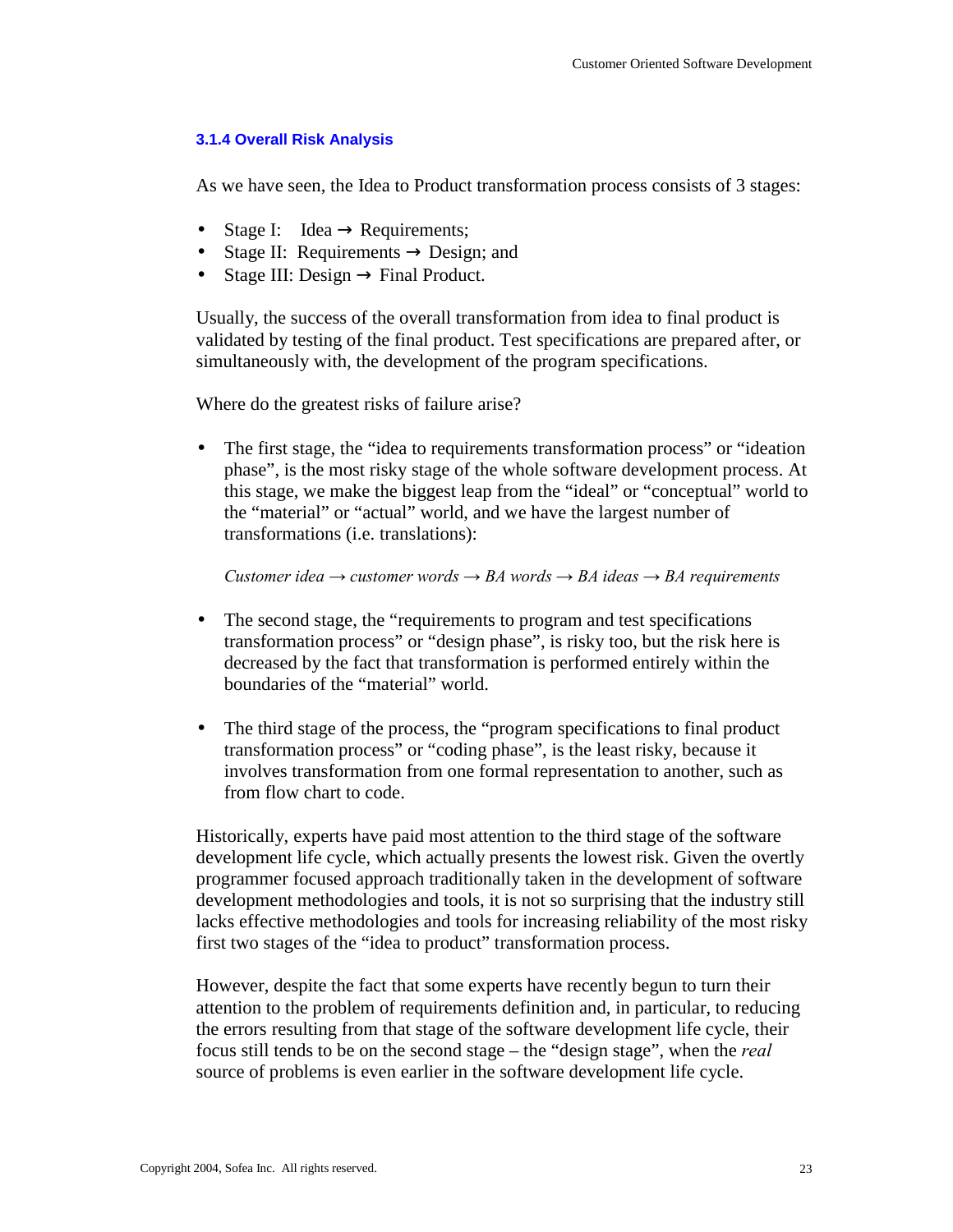## **3.1.4 Overall Risk Analysis**

As we have seen, the Idea to Product transformation process consists of 3 stages:

- Stage I: Idea  $\rightarrow$  Requirements;
- Stage II: Requirements  $\rightarrow$  Design; and
- Stage III: Design  $\rightarrow$  Final Product.

Usually, the success of the overall transformation from idea to final product is validated by testing of the final product. Test specifications are prepared after, or simultaneously with, the development of the program specifications.

Where do the greatest risks of failure arise?

• The first stage, the "idea to requirements transformation process" or "ideation" phase", is the most risky stage of the whole software development process. At this stage, we make the biggest leap from the "ideal" or "conceptual" world to the "material" or "actual" world, and we have the largest number of transformations (i.e. translations):

*Customer idea → customer words → BA words → BA ideas → BA requirements*

- The second stage, the "requirements to program and test specifications" transformation process" or "design phase", is risky too, but the risk here is decreased by the fact that transformation is performed entirely within the boundaries of the "material" world.
- The third stage of the process, the "program specifications to final product transformation process" or "coding phase", is the least risky, because it involves transformation from one formal representation to another, such as from flow chart to code.

Historically, experts have paid most attention to the third stage of the software development life cycle, which actually presents the lowest risk. Given the overtly programmer focused approach traditionally taken in the development of software development methodologies and tools, it is not so surprising that the industry still lacks effective methodologies and tools for increasing reliability of the most risky first two stages of the "idea to product" transformation process.

However, despite the fact that some experts have recently begun to turn their attention to the problem of requirements definition and, in particular, to reducing the errors resulting from that stage of the software development life cycle, their focus still tends to be on the second stage – the "design stage", when the *real* source of problems is even earlier in the software development life cycle.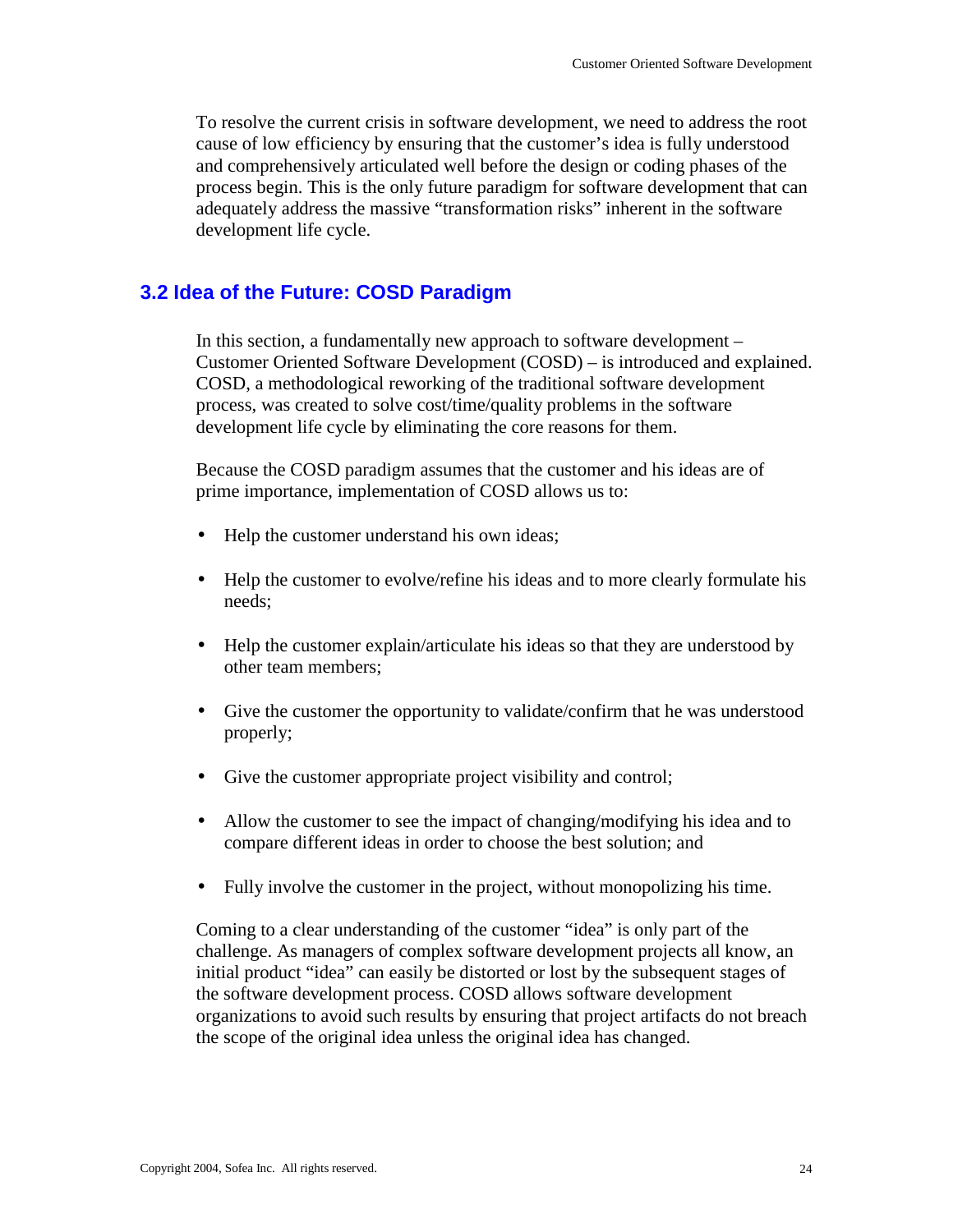To resolve the current crisis in software development, we need to address the root cause of low efficiency by ensuring that the customer's idea is fully understood and comprehensively articulated well before the design or coding phases of the process begin. This is the only future paradigm for software development that can adequately address the massive "transformation risks" inherent in the software development life cycle.

# **3.2 Idea of the Future: COSD Paradigm**

In this section, a fundamentally new approach to software development – Customer Oriented Software Development (COSD) – is introduced and explained. COSD, a methodological reworking of the traditional software development process, was created to solve cost/time/quality problems in the software development life cycle by eliminating the core reasons for them.

Because the COSD paradigm assumes that the customer and his ideas are of prime importance, implementation of COSD allows us to:

- Help the customer understand his own ideas;
- Help the customer to evolve/refine his ideas and to more clearly formulate his needs;
- Help the customer explain/articulate his ideas so that they are understood by other team members;
- Give the customer the opportunity to validate/confirm that he was understood properly;
- Give the customer appropriate project visibility and control;
- Allow the customer to see the impact of changing/modifying his idea and to compare different ideas in order to choose the best solution; and
- Fully involve the customer in the project, without monopolizing his time.

Coming to a clear understanding of the customer "idea" is only part of the challenge. As managers of complex software development projects all know, an initial product "idea" can easily be distorted or lost by the subsequent stages of the software development process. COSD allows software development organizations to avoid such results by ensuring that project artifacts do not breach the scope of the original idea unless the original idea has changed.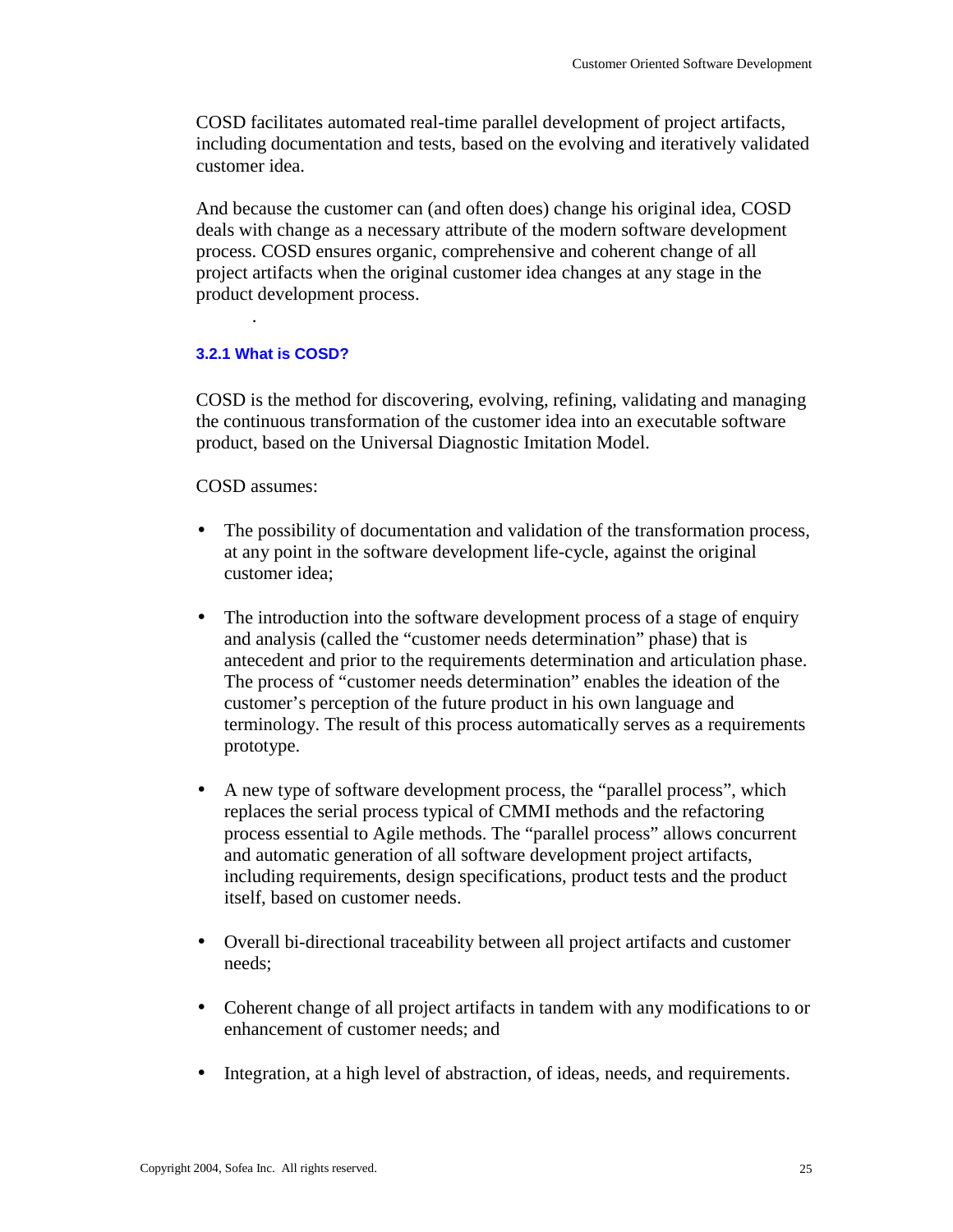COSD facilitates automated real-time parallel development of project artifacts, including documentation and tests, based on the evolving and iteratively validated customer idea.

And because the customer can (and often does) change his original idea, COSD deals with change as a necessary attribute of the modern software development process. COSD ensures organic, comprehensive and coherent change of all project artifacts when the original customer idea changes at any stage in the product development process.

## **3.2.1 What is COSD?**

.

COSD is the method for discovering, evolving, refining, validating and managing the continuous transformation of the customer idea into an executable software product, based on the Universal Diagnostic Imitation Model.

## COSD assumes:

- The possibility of documentation and validation of the transformation process, at any point in the software development life-cycle, against the original customer idea;
- The introduction into the software development process of a stage of enquiry and analysis (called the "customer needs determination" phase) that is antecedent and prior to the requirements determination and articulation phase. The process of "customer needs determination" enables the ideation of the customer's perception of the future product in his own language and terminology. The result of this process automatically serves as a requirements prototype.
- A new type of software development process, the "parallel process", which replaces the serial process typical of CMMI methods and the refactoring process essential to Agile methods. The "parallel process" allows concurrent and automatic generation of all software development project artifacts, including requirements, design specifications, product tests and the product itself, based on customer needs.
- Overall bi-directional traceability between all project artifacts and customer needs;
- Coherent change of all project artifacts in tandem with any modifications to or enhancement of customer needs; and
- Integration, at a high level of abstraction, of ideas, needs, and requirements.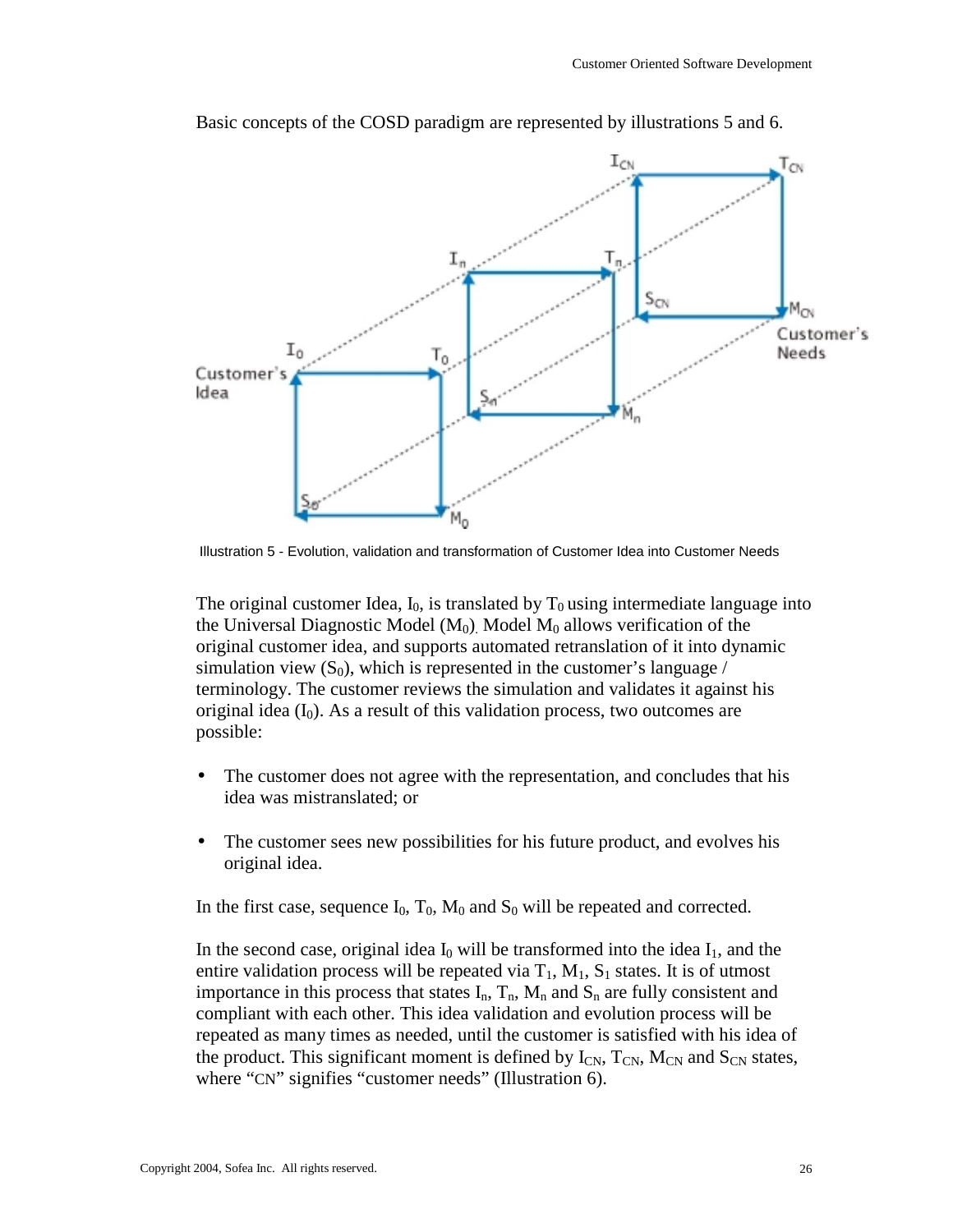

Basic concepts of the COSD paradigm are represented by illustrations 5 and 6.

Illustration 5 - Evolution, validation and transformation of Customer Idea into Customer Needs

The original customer Idea,  $I_0$ , is translated by  $T_0$  using intermediate language into the Universal Diagnostic Model  $(M_0)$ . Model  $M_0$  allows verification of the original customer idea, and supports automated retranslation of it into dynamic simulation view  $(S_0)$ , which is represented in the customer's language / terminology. The customer reviews the simulation and validates it against his original idea  $(I_0)$ . As a result of this validation process, two outcomes are possible:

- The customer does not agree with the representation, and concludes that his idea was mistranslated; or
- The customer sees new possibilities for his future product, and evolves his original idea.

In the first case, sequence  $I_0$ ,  $T_0$ ,  $M_0$  and  $S_0$  will be repeated and corrected.

In the second case, original idea  $I_0$  will be transformed into the idea  $I_1$ , and the entire validation process will be repeated via  $T_1$ ,  $M_1$ ,  $S_1$  states. It is of utmost importance in this process that states  $I_n$ ,  $T_n$ ,  $M_n$  and  $S_n$  are fully consistent and compliant with each other. This idea validation and evolution process will be repeated as many times as needed, until the customer is satisfied with his idea of the product. This significant moment is defined by  $I_{CN}$ ,  $T_{CN}$ ,  $M_{CN}$  and  $S_{CN}$  states, where "CN" signifies "customer needs" (Illustration 6).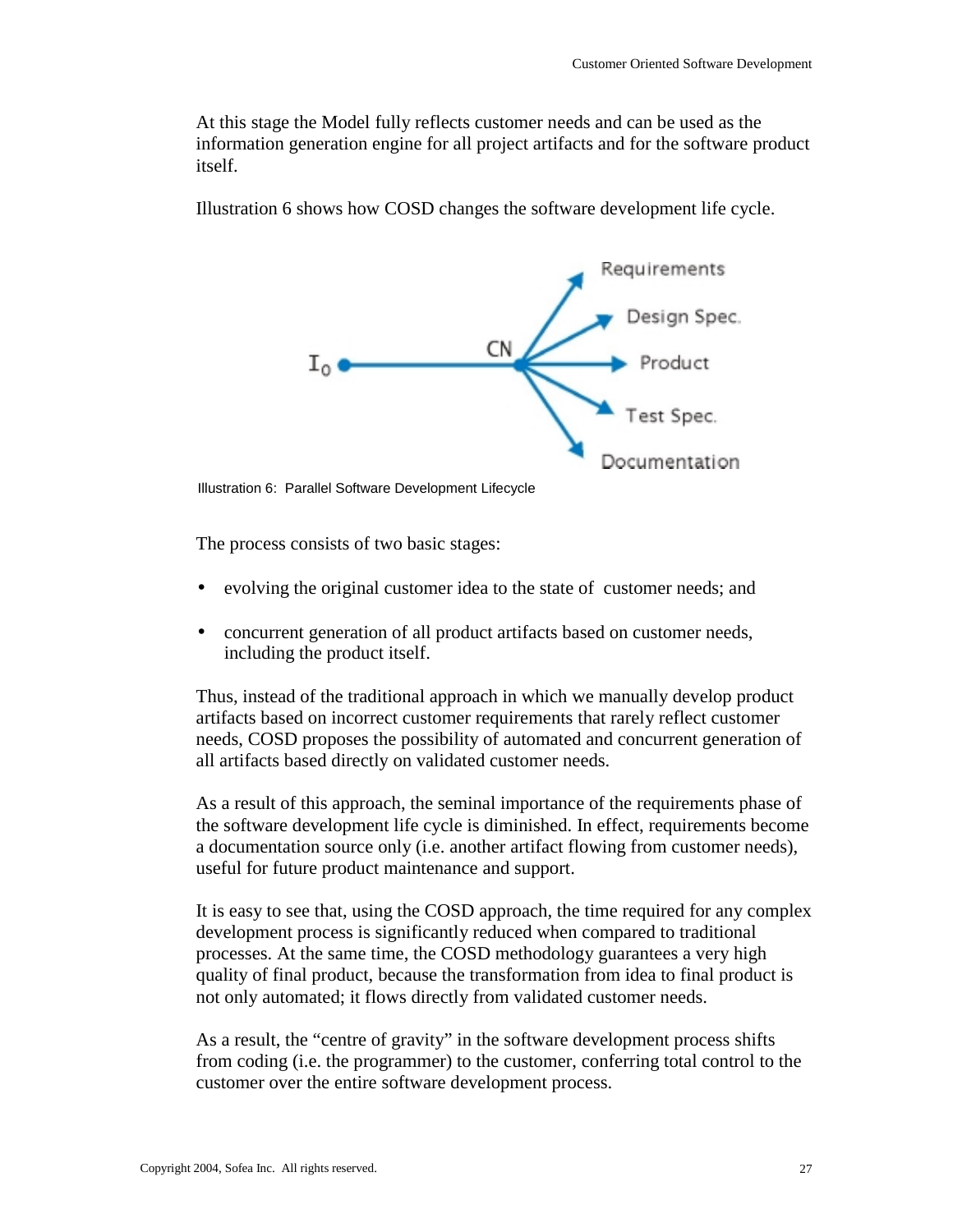At this stage the Model fully reflects customer needs and can be used as the information generation engine for all project artifacts and for the software product itself.



Illustration 6 shows how COSD changes the software development life cycle.

Illustration 6: Parallel Software Development Lifecycle

The process consists of two basic stages:

- evolving the original customer idea to the state of customer needs; and
- concurrent generation of all product artifacts based on customer needs, including the product itself.

Thus, instead of the traditional approach in which we manually develop product artifacts based on incorrect customer requirements that rarely reflect customer needs, COSD proposes the possibility of automated and concurrent generation of all artifacts based directly on validated customer needs.

As a result of this approach, the seminal importance of the requirements phase of the software development life cycle is diminished. In effect, requirements become a documentation source only (i.e. another artifact flowing from customer needs), useful for future product maintenance and support.

It is easy to see that, using the COSD approach, the time required for any complex development process is significantly reduced when compared to traditional processes. At the same time, the COSD methodology guarantees a very high quality of final product, because the transformation from idea to final product is not only automated; it flows directly from validated customer needs.

As a result, the "centre of gravity" in the software development process shifts from coding (i.e. the programmer) to the customer, conferring total control to the customer over the entire software development process.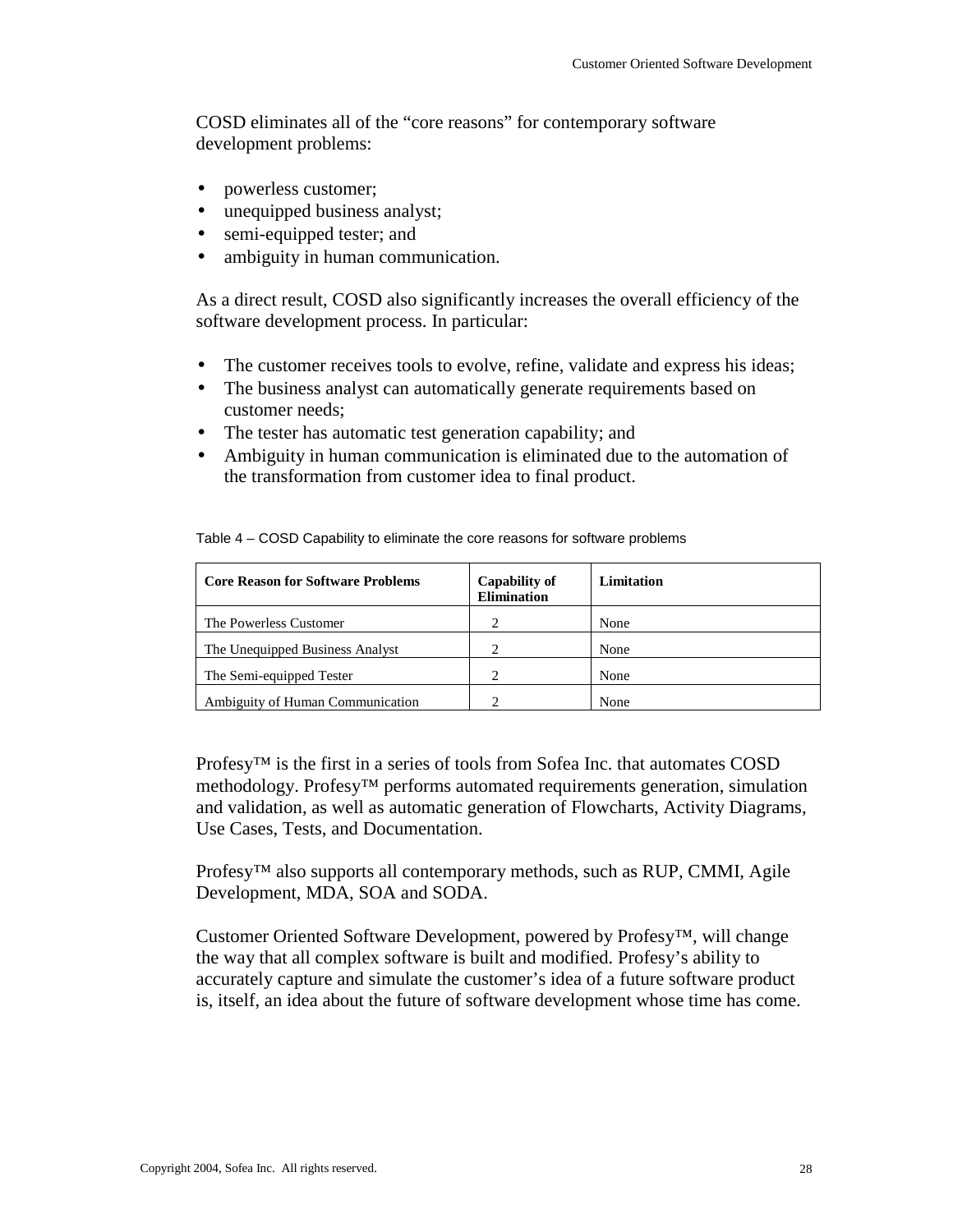COSD eliminates all of the "core reasons" for contemporary software development problems:

- powerless customer;
- unequipped business analyst;
- semi-equipped tester; and
- ambiguity in human communication.

As a direct result, COSD also significantly increases the overall efficiency of the software development process. In particular:

- The customer receives tools to evolve, refine, validate and express his ideas;
- The business analyst can automatically generate requirements based on customer needs;
- The tester has automatic test generation capability; and
- Ambiguity in human communication is eliminated due to the automation of the transformation from customer idea to final product.

| <b>Core Reason for Software Problems</b> | <b>Capability of</b><br><b>Elimination</b> | Limitation |
|------------------------------------------|--------------------------------------------|------------|
| The Powerless Customer                   |                                            | None       |
| The Unequipped Business Analyst          |                                            | None       |
| The Semi-equipped Tester                 | ∍                                          | None       |
| Ambiguity of Human Communication         |                                            | None       |

Table 4 – COSD Capability to eliminate the core reasons for software problems

Profesy<sup>™</sup> is the first in a series of tools from Sofea Inc. that automates COSD methodology. Profesy<sup>™</sup> performs automated requirements generation, simulation and validation, as well as automatic generation of Flowcharts, Activity Diagrams, Use Cases, Tests, and Documentation.

Profesy<sup>™</sup> also supports all contemporary methods, such as RUP, CMMI, Agile Development, MDA, SOA and SODA.

Customer Oriented Software Development, powered by Profesy™, will change the way that all complex software is built and modified. Profesy's ability to accurately capture and simulate the customer's idea of a future software product is, itself, an idea about the future of software development whose time has come.